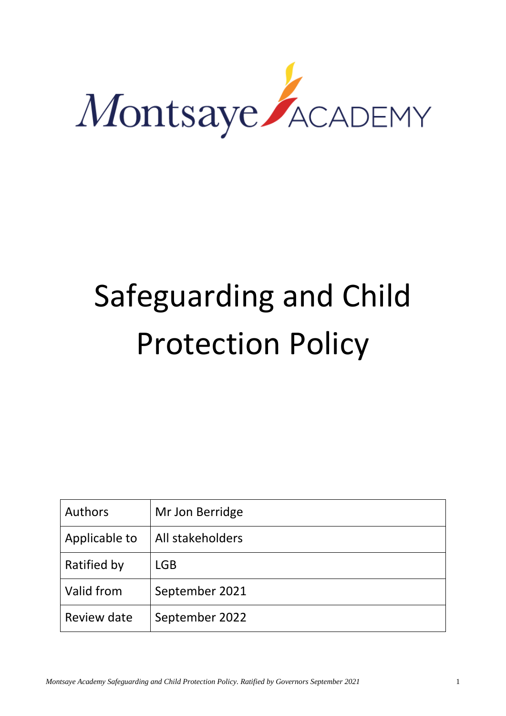

# Safeguarding and Child Protection Policy

| <b>Authors</b> | Mr Jon Berridge  |  |
|----------------|------------------|--|
| Applicable to  | All stakeholders |  |
| Ratified by    | <b>LGB</b>       |  |
| Valid from     | September 2021   |  |
| Review date    | September 2022   |  |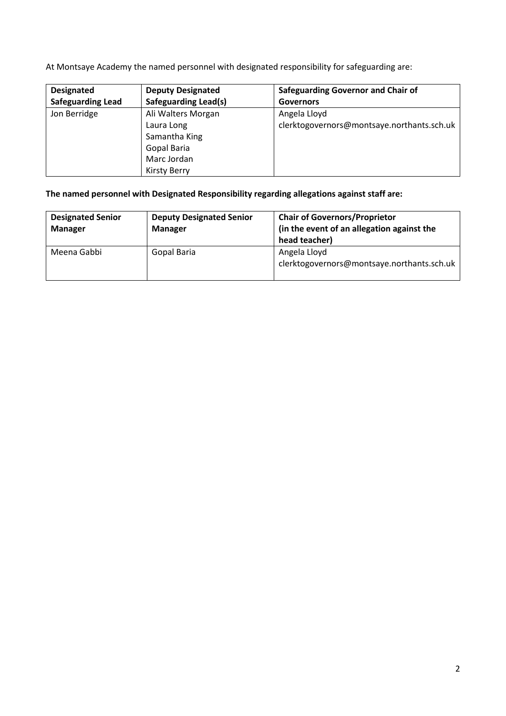At Montsaye Academy the named personnel with designated responsibility for safeguarding are:

| <b>Designated</b>        | <b>Deputy Designated</b>    | <b>Safeguarding Governor and Chair of</b>  |
|--------------------------|-----------------------------|--------------------------------------------|
| <b>Safeguarding Lead</b> | <b>Safeguarding Lead(s)</b> | <b>Governors</b>                           |
| Jon Berridge             | Ali Walters Morgan          | Angela Lloyd                               |
|                          | Laura Long                  | clerktogovernors@montsaye.northants.sch.uk |
|                          | Samantha King               |                                            |
|                          | Gopal Baria                 |                                            |
|                          | Marc Jordan                 |                                            |
|                          | <b>Kirsty Berry</b>         |                                            |

# **The named personnel with Designated Responsibility regarding allegations against staff are:**

| <b>Designated Senior</b><br><b>Manager</b> | <b>Deputy Designated Senior</b><br><b>Manager</b> | <b>Chair of Governors/Proprietor</b><br>(in the event of an allegation against the<br>head teacher) |
|--------------------------------------------|---------------------------------------------------|-----------------------------------------------------------------------------------------------------|
| Meena Gabbi                                | Gopal Baria                                       | Angela Lloyd<br>clerktogovernors@montsaye.northants.sch.uk                                          |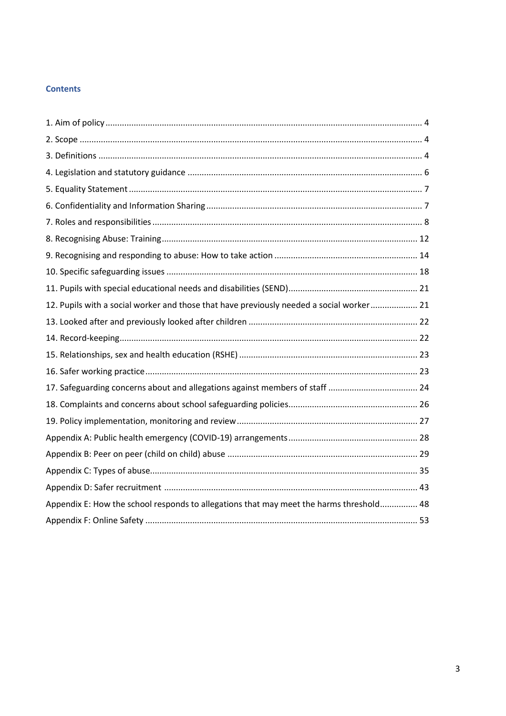# **Contents**

| 12. Pupils with a social worker and those that have previously needed a social worker 21 |  |
|------------------------------------------------------------------------------------------|--|
|                                                                                          |  |
|                                                                                          |  |
|                                                                                          |  |
|                                                                                          |  |
|                                                                                          |  |
|                                                                                          |  |
|                                                                                          |  |
|                                                                                          |  |
|                                                                                          |  |
|                                                                                          |  |
|                                                                                          |  |
| Appendix E: How the school responds to allegations that may meet the harms threshold 48  |  |
|                                                                                          |  |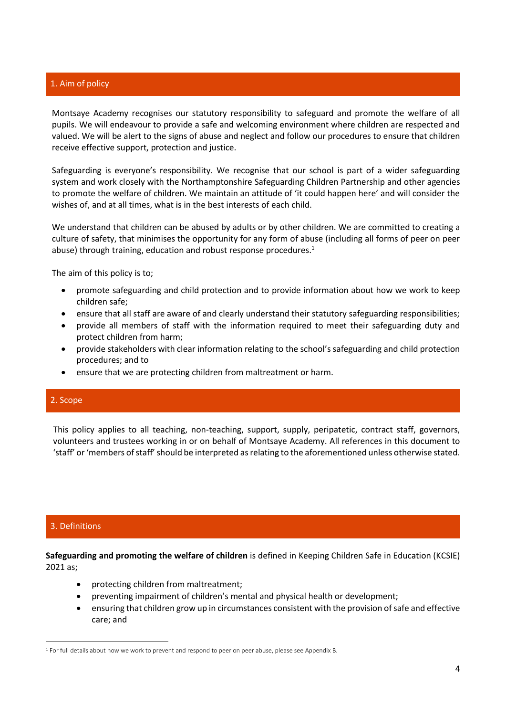# <span id="page-3-0"></span>1. Aim of policy

Montsaye Academy recognises our statutory responsibility to safeguard and promote the welfare of all pupils. We will endeavour to provide a safe and welcoming environment where children are respected and valued. We will be alert to the signs of abuse and neglect and follow our procedures to ensure that children receive effective support, protection and justice.

Safeguarding is everyone's responsibility. We recognise that our school is part of a wider safeguarding system and work closely with the Northamptonshire Safeguarding Children Partnership and other agencies to promote the welfare of children. We maintain an attitude of 'it could happen here' and will consider the wishes of, and at all times, what is in the best interests of each child.

We understand that children can be abused by adults or by other children. We are committed to creating a culture of safety, that minimises the opportunity for any form of abuse (including all forms of peer on peer abuse) through training, education and robust response procedures. $1$ 

The aim of this policy is to;

- promote safeguarding and child protection and to provide information about how we work to keep children safe;
- ensure that all staff are aware of and clearly understand their statutory safeguarding responsibilities;
- provide all members of staff with the information required to meet their safeguarding duty and protect children from harm;
- provide stakeholders with clear information relating to the school's safeguarding and child protection procedures; and to
- ensure that we are protecting children from maltreatment or harm.

#### <span id="page-3-1"></span>2. Scope

This policy applies to all teaching, non-teaching, support, supply, peripatetic, contract staff, governors, volunteers and trustees working in or on behalf of Montsaye Academy. All references in this document to 'staff' or 'members of staff' should be interpreted as relating to the aforementioned unless otherwise stated.

#### <span id="page-3-2"></span>3. Definitions

 $\overline{a}$ 

**Safeguarding and promoting the welfare of children** is defined in Keeping Children Safe in Education (KCSIE) 2021 as;

- protecting children from maltreatment;
- preventing impairment of children's mental and physical health or development;
- ensuring that children grow up in circumstances consistent with the provision of safe and effective care; and

<sup>&</sup>lt;sup>1</sup> For full details about how we work to prevent and respond to peer on peer abuse, please see Appendix B.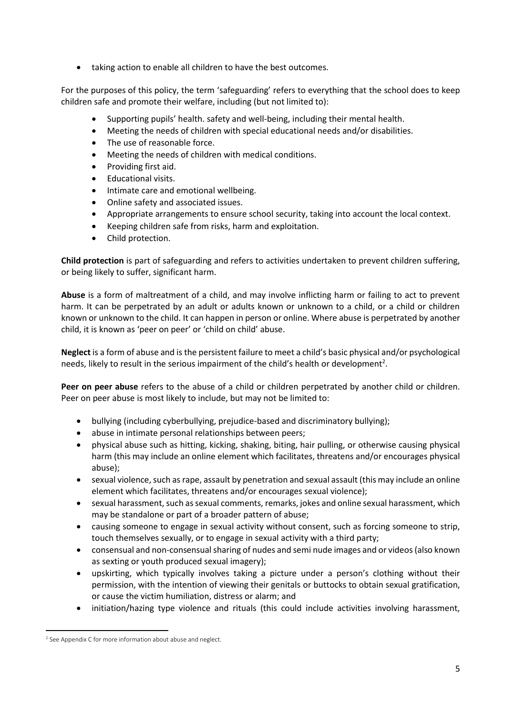• taking action to enable all children to have the best outcomes.

For the purposes of this policy, the term 'safeguarding' refers to everything that the school does to keep children safe and promote their welfare, including (but not limited to):

- Supporting pupils' health. safety and well-being, including their mental health.
- Meeting the needs of children with special educational needs and/or disabilities.
- The use of reasonable force.
- Meeting the needs of children with medical conditions.
- Providing first aid.
- Educational visits.
- Intimate care and emotional wellbeing.
- Online safety and associated issues.
- Appropriate arrangements to ensure school security, taking into account the local context.
- Keeping children safe from risks, harm and exploitation.
- Child protection.

**Child protection** is part of safeguarding and refers to activities undertaken to prevent children suffering, or being likely to suffer, significant harm.

**Abuse** is a form of maltreatment of a child, and may involve inflicting harm or failing to act to prevent harm. It can be perpetrated by an adult or adults known or unknown to a child, or a child or children known or unknown to the child. It can happen in person or online. Where abuse is perpetrated by another child, it is known as 'peer on peer' or 'child on child' abuse.

**Neglect** is a form of abuse and is the persistent failure to meet a child's basic physical and/or psychological needs, likely to result in the serious impairment of the child's health or development<sup>2</sup>.

**Peer on peer abuse** refers to the abuse of a child or children perpetrated by another child or children. Peer on peer abuse is most likely to include, but may not be limited to:

- bullying (including cyberbullying, prejudice-based and discriminatory bullying);
- abuse in intimate personal relationships between peers;
- physical abuse such as hitting, kicking, shaking, biting, hair pulling, or otherwise causing physical harm (this may include an online element which facilitates, threatens and/or encourages physical abuse);
- sexual violence, such as rape, assault by penetration and sexual assault (this may include an online element which facilitates, threatens and/or encourages sexual violence);
- sexual harassment, such as sexual comments, remarks, jokes and online sexual harassment, which may be standalone or part of a broader pattern of abuse;
- causing someone to engage in sexual activity without consent, such as forcing someone to strip, touch themselves sexually, or to engage in sexual activity with a third party;
- consensual and non-consensual sharing of nudes and semi nude images and or videos (also known as sexting or youth produced sexual imagery);
- upskirting, which typically involves taking a picture under a person's clothing without their permission, with the intention of viewing their genitals or buttocks to obtain sexual gratification, or cause the victim humiliation, distress or alarm; and
- initiation/hazing type violence and rituals (this could include activities involving harassment,

**<sup>.</sup>** <sup>2</sup> See Appendix C for more information about abuse and neglect.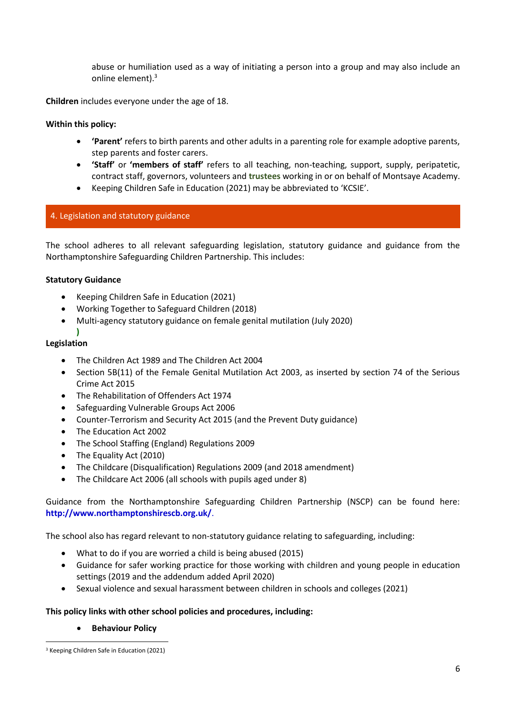abuse or humiliation used as a way of initiating a person into a group and may also include an online element).<sup>3</sup>

**Children** includes everyone under the age of 18.

# **Within this policy:**

- **'Parent'** refers to birth parents and other adults in a parenting role for example adoptive parents, step parents and foster carers.
- **'Staff'** or **'members of staff'** refers to all teaching, non-teaching, support, supply, peripatetic, contract staff, governors, volunteers and **trustees** working in or on behalf of Montsaye Academy.
- Keeping Children Safe in Education (2021) may be abbreviated to 'KCSIE'.

# <span id="page-5-0"></span>4. Legislation and statutory guidance

The school adheres to all relevant safeguarding legislation, statutory guidance and guidance from the Northamptonshire Safeguarding Children Partnership. This includes:

#### **Statutory Guidance**

- Keeping Children Safe in Education (2021)
- Working Together to Safeguard Children (2018)
- Multi-agency statutory guidance on female genital mutilation (July 2020)

#### **) Legislation**

- The Children Act 1989 and The Children Act 2004
- Section 5B(11) of the Female Genital Mutilation Act 2003, as inserted by section 74 of the Serious Crime Act 2015
- The Rehabilitation of Offenders Act 1974
- Safeguarding Vulnerable Groups Act 2006
- Counter-Terrorism and Security Act 2015 (and the Prevent Duty guidance)
- The Education Act 2002
- The School Staffing (England) Regulations 2009
- The Equality Act (2010)
- The Childcare (Disqualification) Regulations 2009 (and 2018 amendment)
- The Childcare Act 2006 (all schools with pupils aged under 8)

Guidance from the Northamptonshire Safeguarding Children Partnership (NSCP) can be found here: **<http://www.northamptonshirescb.org.uk/>**.

The school also has regard relevant to non-statutory guidance relating to safeguarding, including:

- What to do if you are worried a child is being abused (2015)
- Guidance for safer working practice for those working with children and young people in education settings (2019 and the addendum added April 2020)
- Sexual violence and sexual harassment between children in schools and colleges (2021)

#### **This policy links with other school policies and procedures, including:**

• **Behaviour Policy**

 $\overline{a}$ <sup>3</sup> Keeping Children Safe in Education (2021)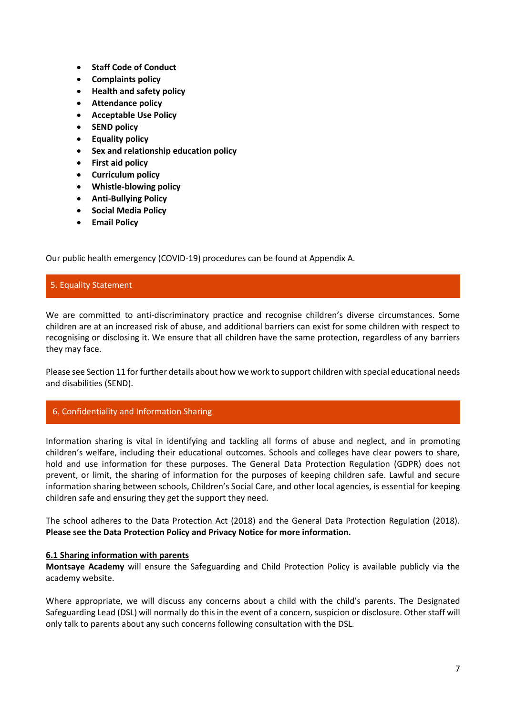- **Staff Code of Conduct**
- **Complaints policy**
- **Health and safety policy**
- **Attendance policy**
- **Acceptable Use Policy**
- **SEND policy**
- **Equality policy**
- **Sex and relationship education policy**
- **First aid policy**
- **Curriculum policy**
- **Whistle-blowing policy**
- **Anti-Bullying Policy**
- **Social Media Policy**
- **Email Policy**

Our public health emergency (COVID-19) procedures can be found at Appendix A.

# <span id="page-6-0"></span>5. Equality Statement

We are committed to anti-discriminatory practice and recognise children's diverse circumstances. Some children are at an increased risk of abuse, and additional barriers can exist for some children with respect to recognising or disclosing it. We ensure that all children have the same protection, regardless of any barriers they may face.

Please see Section 11 for further details about how we work to support children with special educational needs and disabilities (SEND).

# <span id="page-6-1"></span>6. Confidentiality and Information Sharing

Information sharing is vital in identifying and tackling all forms of abuse and neglect, and in promoting children's welfare, including their educational outcomes. Schools and colleges have clear powers to share, hold and use information for these purposes. The General Data Protection Regulation (GDPR) does not prevent, or limit, the sharing of information for the purposes of keeping children safe. Lawful and secure information sharing between schools, Children's Social Care, and other local agencies, is essential for keeping children safe and ensuring they get the support they need.

The school adheres to the Data Protection Act (2018) and the General Data Protection Regulation (2018). **Please see the Data Protection Policy and Privacy Notice for more information.** 

#### **6.1 Sharing information with parents**

**Montsaye Academy** will ensure the Safeguarding and Child Protection Policy is available publicly via the academy website.

Where appropriate, we will discuss any concerns about a child with the child's parents. The Designated Safeguarding Lead (DSL) will normally do this in the event of a concern, suspicion or disclosure. Other staff will only talk to parents about any such concerns following consultation with the DSL.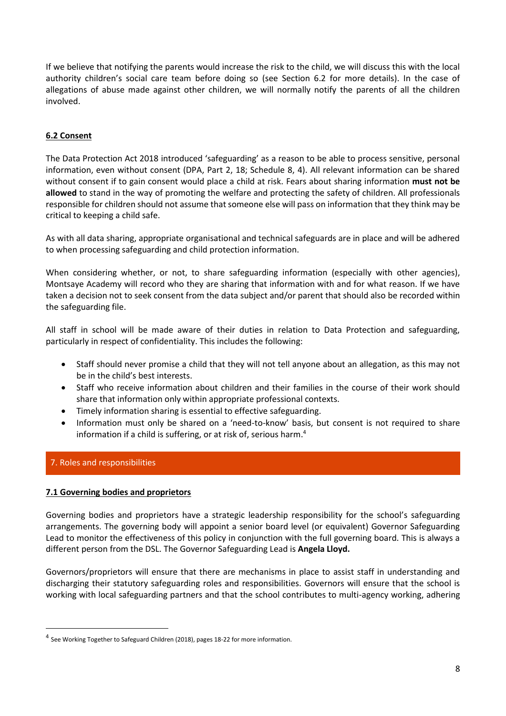If we believe that notifying the parents would increase the risk to the child, we will discuss this with the local authority children's social care team before doing so (see Section 6.2 for more details). In the case of allegations of abuse made against other children, we will normally notify the parents of all the children involved.

# **6.2 Consent**

The Data Protection Act 2018 introduced 'safeguarding' as a reason to be able to process sensitive, personal information, even without consent (DPA, Part 2, 18; Schedule 8, 4). All relevant information can be shared without consent if to gain consent would place a child at risk. Fears about sharing information **must not be allowed** to stand in the way of promoting the welfare and protecting the safety of children. All professionals responsible for children should not assume that someone else will pass on information that they think may be critical to keeping a child safe.

As with all data sharing, appropriate organisational and technical safeguards are in place and will be adhered to when processing safeguarding and child protection information.

When considering whether, or not, to share safeguarding information (especially with other agencies), Montsaye Academy will record who they are sharing that information with and for what reason. If we have taken a decision not to seek consent from the data subject and/or parent that should also be recorded within the safeguarding file.

All staff in school will be made aware of their duties in relation to Data Protection and safeguarding, particularly in respect of confidentiality. This includes the following:

- Staff should never promise a child that they will not tell anyone about an allegation, as this may not be in the child's best interests.
- Staff who receive information about children and their families in the course of their work should share that information only within appropriate professional contexts.
- Timely information sharing is essential to effective safeguarding.
- Information must only be shared on a 'need-to-know' basis, but consent is not required to share information if a child is suffering, or at risk of, serious harm. 4

# <span id="page-7-0"></span>7. Roles and responsibilities

1

# **7.1 Governing bodies and proprietors**

Governing bodies and proprietors have a strategic leadership responsibility for the school's safeguarding arrangements. The governing body will appoint a senior board level (or equivalent) Governor Safeguarding Lead to monitor the effectiveness of this policy in conjunction with the full governing board. This is always a different person from the DSL. The Governor Safeguarding Lead is **Angela Lloyd.**

Governors/proprietors will ensure that there are mechanisms in place to assist staff in understanding and discharging their statutory safeguarding roles and responsibilities. Governors will ensure that the school is working with local safeguarding partners and that the school contributes to multi-agency working, adhering

<sup>&</sup>lt;sup>4</sup> See Working Together to Safeguard Children (2018), pages 18-22 for more information.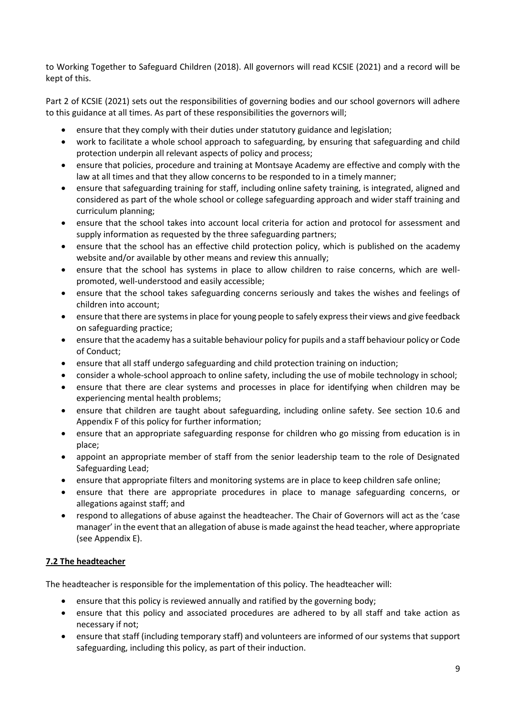to Working Together to Safeguard Children (2018). All governors will read KCSIE (2021) and a record will be kept of this.

Part 2 of KCSIE (2021) sets out the responsibilities of governing bodies and our school governors will adhere to this guidance at all times. As part of these responsibilities the governors will;

- ensure that they comply with their duties under statutory guidance and legislation;
- work to facilitate a whole school approach to safeguarding, by ensuring that safeguarding and child protection underpin all relevant aspects of policy and process;
- ensure that policies, procedure and training at Montsaye Academy are effective and comply with the law at all times and that they allow concerns to be responded to in a timely manner;
- ensure that safeguarding training for staff, including online safety training, is integrated, aligned and considered as part of the whole school or college safeguarding approach and wider staff training and curriculum planning;
- ensure that the school takes into account local criteria for action and protocol for assessment and supply information as requested by the three safeguarding partners;
- ensure that the school has an effective child protection policy, which is published on the academy website and/or available by other means and review this annually;
- ensure that the school has systems in place to allow children to raise concerns, which are wellpromoted, well-understood and easily accessible;
- ensure that the school takes safeguarding concerns seriously and takes the wishes and feelings of children into account;
- ensure that there are systems in place for young people to safely express their views and give feedback on safeguarding practice;
- ensure that the academy has a suitable behaviour policy for pupils and a staff behaviour policy or Code of Conduct;
- ensure that all staff undergo safeguarding and child protection training on induction;
- consider a whole-school approach to online safety, including the use of mobile technology in school;
- ensure that there are clear systems and processes in place for identifying when children may be experiencing mental health problems;
- ensure that children are taught about safeguarding, including online safety. See section 10.6 and Appendix F of this policy for further information;
- ensure that an appropriate safeguarding response for children who go missing from education is in place;
- appoint an appropriate member of staff from the senior leadership team to the role of Designated Safeguarding Lead;
- ensure that appropriate filters and monitoring systems are in place to keep children safe online;
- ensure that there are appropriate procedures in place to manage safeguarding concerns, or allegations against staff; and
- respond to allegations of abuse against the headteacher. The Chair of Governors will act as the 'case manager' in the event that an allegation of abuse is made against the head teacher, where appropriate (see Appendix E).

# **7.2 The headteacher**

The headteacher is responsible for the implementation of this policy. The headteacher will:

- ensure that this policy is reviewed annually and ratified by the governing body;
- ensure that this policy and associated procedures are adhered to by all staff and take action as necessary if not;
- ensure that staff (including temporary staff) and volunteers are informed of our systems that support safeguarding, including this policy, as part of their induction.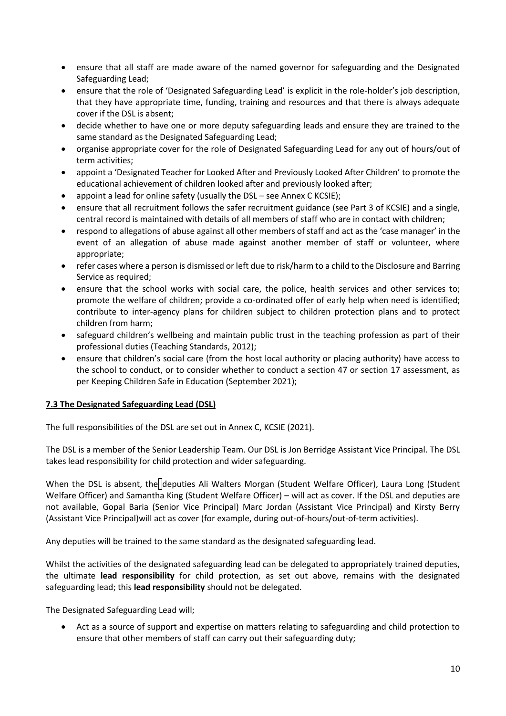- ensure that all staff are made aware of the named governor for safeguarding and the Designated Safeguarding Lead;
- ensure that the role of 'Designated Safeguarding Lead' is explicit in the role-holder's job description, that they have appropriate time, funding, training and resources and that there is always adequate cover if the DSL is absent;
- decide whether to have one or more deputy safeguarding leads and ensure they are trained to the same standard as the Designated Safeguarding Lead;
- organise appropriate cover for the role of Designated Safeguarding Lead for any out of hours/out of term activities;
- appoint a 'Designated Teacher for Looked After and Previously Looked After Children' to promote the educational achievement of children looked after and previously looked after;
- appoint a lead for online safety (usually the DSL see Annex C KCSIE);
- ensure that all recruitment follows the safer recruitment guidance (see Part 3 of KCSIE) and a single, central record is maintained with details of all members of staff who are in contact with children;
- respond to allegations of abuse against all other members of staff and act as the 'case manager' in the event of an allegation of abuse made against another member of staff or volunteer, where appropriate;
- refer cases where a person is dismissed or left due to risk/harm to a child to the Disclosure and Barring Service as required;
- ensure that the school works with social care, the police, health services and other services to; promote the welfare of children; provide a co-ordinated offer of early help when need is identified; contribute to inter-agency plans for children subject to children protection plans and to protect children from harm;
- safeguard children's wellbeing and maintain public trust in the teaching profession as part of their professional duties (Teaching Standards, 2012);
- ensure that children's social care (from the host local authority or placing authority) have access to the school to conduct, or to consider whether to conduct a section 47 or section 17 assessment, as per Keeping Children Safe in Education (September 2021);

# **7.3 The Designated Safeguarding Lead (DSL)**

The full responsibilities of the DSL are set out in Annex C, KCSIE (2021).

The DSL is a member of the Senior Leadership Team. Our DSL is Jon Berridge Assistant Vice Principal. The DSL takes lead responsibility for child protection and wider safeguarding.

When the DSL is absent, the deputies Ali Walters Morgan (Student Welfare Officer), Laura Long (Student Welfare Officer) and Samantha King (Student Welfare Officer) – will act as cover. If the DSL and deputies are not available, Gopal Baria (Senior Vice Principal) Marc Jordan (Assistant Vice Principal) and Kirsty Berry (Assistant Vice Principal)will act as cover (for example, during out-of-hours/out-of-term activities).

Any deputies will be trained to the same standard as the designated safeguarding lead.

Whilst the activities of the designated safeguarding lead can be delegated to appropriately trained deputies, the ultimate **lead responsibility** for child protection, as set out above, remains with the designated safeguarding lead; this **lead responsibility** should not be delegated.

The Designated Safeguarding Lead will;

• Act as a source of support and expertise on matters relating to safeguarding and child protection to ensure that other members of staff can carry out their safeguarding duty;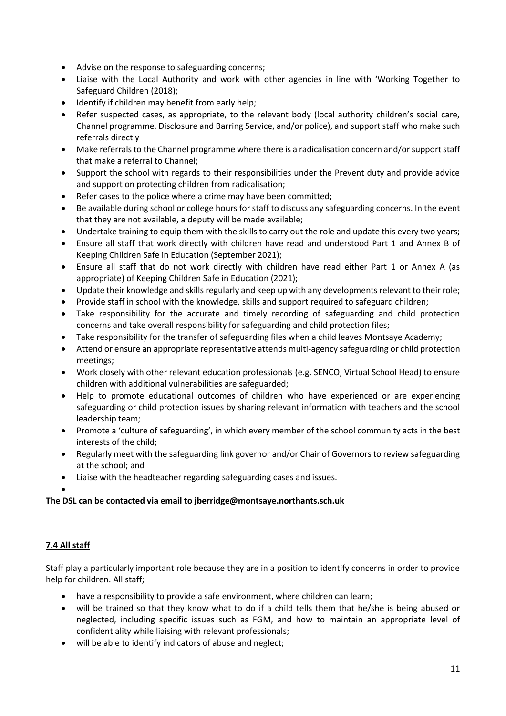- Advise on the response to safeguarding concerns;
- Liaise with the Local Authority and work with other agencies in line with 'Working Together to Safeguard Children (2018);
- Identify if children may benefit from early help;
- Refer suspected cases, as appropriate, to the relevant body (local authority children's social care, Channel programme, Disclosure and Barring Service, and/or police), and support staff who make such referrals directly
- Make referrals to the Channel programme where there is a radicalisation concern and/or support staff that make a referral to Channel;
- Support the school with regards to their responsibilities under the Prevent duty and provide advice and support on protecting children from radicalisation;
- Refer cases to the police where a crime may have been committed;
- Be available during school or college hours for staff to discuss any safeguarding concerns. In the event that they are not available, a deputy will be made available;
- Undertake training to equip them with the skills to carry out the role and update this every two years;
- Ensure all staff that work directly with children have read and understood Part 1 and Annex B of Keeping Children Safe in Education (September 2021);
- Ensure all staff that do not work directly with children have read either Part 1 or Annex A (as appropriate) of Keeping Children Safe in Education (2021);
- Update their knowledge and skills regularly and keep up with any developments relevant to their role;
- Provide staff in school with the knowledge, skills and support required to safeguard children;
- Take responsibility for the accurate and timely recording of safeguarding and child protection concerns and take overall responsibility for safeguarding and child protection files;
- Take responsibility for the transfer of safeguarding files when a child leaves Montsaye Academy;
- Attend or ensure an appropriate representative attends multi-agency safeguarding or child protection meetings;
- Work closely with other relevant education professionals (e.g. SENCO, Virtual School Head) to ensure children with additional vulnerabilities are safeguarded;
- Help to promote educational outcomes of children who have experienced or are experiencing safeguarding or child protection issues by sharing relevant information with teachers and the school leadership team;
- Promote a 'culture of safeguarding', in which every member of the school community acts in the best interests of the child;
- Regularly meet with the safeguarding link governor and/or Chair of Governors to review safeguarding at the school; and
- Liaise with the headteacher regarding safeguarding cases and issues.
- •

# **The DSL can be contacted via email to jberridge@montsaye.northants.sch.uk**

# **7.4 All staff**

Staff play a particularly important role because they are in a position to identify concerns in order to provide help for children. All staff;

- have a responsibility to provide a safe environment, where children can learn;
- will be trained so that they know what to do if a child tells them that he/she is being abused or neglected, including specific issues such as FGM, and how to maintain an appropriate level of confidentiality while liaising with relevant professionals;
- will be able to identify indicators of abuse and neglect;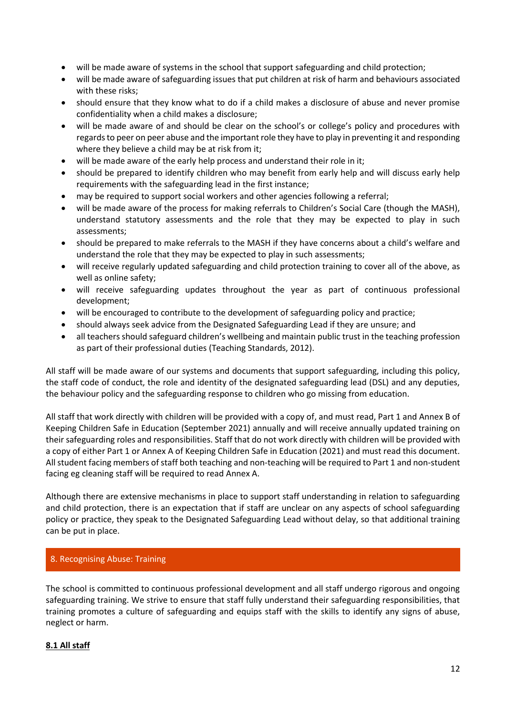- will be made aware of systems in the school that support safeguarding and child protection;
- will be made aware of safeguarding issues that put children at risk of harm and behaviours associated with these risks;
- should ensure that they know what to do if a child makes a disclosure of abuse and never promise confidentiality when a child makes a disclosure;
- will be made aware of and should be clear on the school's or college's policy and procedures with regards to peer on peer abuse and the important role they have to play in preventing it and responding where they believe a child may be at risk from it;
- will be made aware of the early help process and understand their role in it;
- should be prepared to identify children who may benefit from early help and will discuss early help requirements with the safeguarding lead in the first instance;
- may be required to support social workers and other agencies following a referral;
- will be made aware of the process for making referrals to Children's Social Care (though the MASH), understand statutory assessments and the role that they may be expected to play in such assessments;
- should be prepared to make referrals to the MASH if they have concerns about a child's welfare and understand the role that they may be expected to play in such assessments;
- will receive regularly updated safeguarding and child protection training to cover all of the above, as well as online safety;
- will receive safeguarding updates throughout the year as part of continuous professional development;
- will be encouraged to contribute to the development of safeguarding policy and practice;
- should always seek advice from the Designated Safeguarding Lead if they are unsure; and
- all teachers should safeguard children's wellbeing and maintain public trust in the teaching profession as part of their professional duties (Teaching Standards, 2012).

All staff will be made aware of our systems and documents that support safeguarding, including this policy, the staff code of conduct, the role and identity of the designated safeguarding lead (DSL) and any deputies, the behaviour policy and the safeguarding response to children who go missing from education.

All staff that work directly with children will be provided with a copy of, and must read, Part 1 and Annex B of Keeping Children Safe in Education (September 2021) annually and will receive annually updated training on their safeguarding roles and responsibilities. Staff that do not work directly with children will be provided with a copy of either Part 1 or Annex A of Keeping Children Safe in Education (2021) and must read this document. All student facing members of staff both teaching and non-teaching will be required to Part 1 and non-student facing eg cleaning staff will be required to read Annex A.

Although there are extensive mechanisms in place to support staff understanding in relation to safeguarding and child protection, there is an expectation that if staff are unclear on any aspects of school safeguarding policy or practice, they speak to the Designated Safeguarding Lead without delay, so that additional training can be put in place.

# <span id="page-11-0"></span>8. Recognising Abuse: Training

The school is committed to continuous professional development and all staff undergo rigorous and ongoing safeguarding training. We strive to ensure that staff fully understand their safeguarding responsibilities, that training promotes a culture of safeguarding and equips staff with the skills to identify any signs of abuse, neglect or harm.

# **8.1 All staff**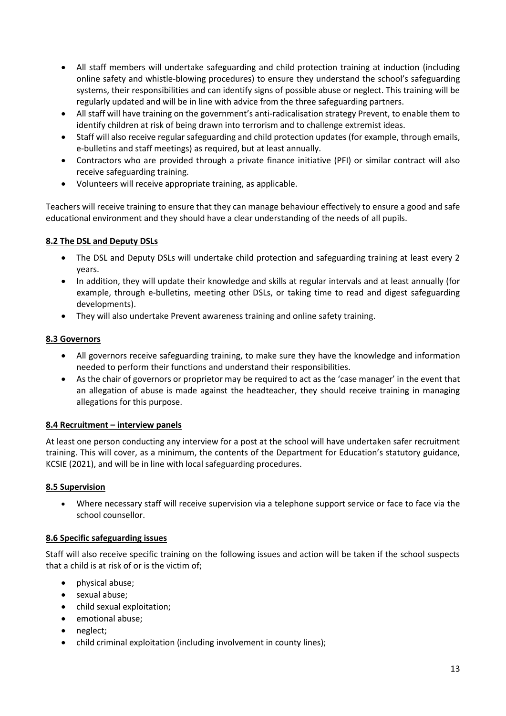- All staff members will undertake safeguarding and child protection training at induction (including online safety and whistle-blowing procedures) to ensure they understand the school's safeguarding systems, their responsibilities and can identify signs of possible abuse or neglect. This training will be regularly updated and will be in line with advice from the three safeguarding partners.
- All staff will have training on the government's anti-radicalisation strategy Prevent, to enable them to identify children at risk of being drawn into terrorism and to challenge extremist ideas.
- Staff will also receive regular safeguarding and child protection updates (for example, through emails, e-bulletins and staff meetings) as required, but at least annually.
- Contractors who are provided through a private finance initiative (PFI) or similar contract will also receive safeguarding training.
- Volunteers will receive appropriate training, as applicable.

Teachers will receive training to ensure that they can manage behaviour effectively to ensure a good and safe educational environment and they should have a clear understanding of the needs of all pupils.

# **8.2 The DSL and Deputy DSLs**

- The DSL and Deputy DSLs will undertake child protection and safeguarding training at least every 2 years.
- In addition, they will update their knowledge and skills at regular intervals and at least annually (for example, through e-bulletins, meeting other DSLs, or taking time to read and digest safeguarding developments).
- They will also undertake Prevent awareness training and online safety training.

# **8.3 Governors**

- All governors receive safeguarding training, to make sure they have the knowledge and information needed to perform their functions and understand their responsibilities.
- As the chair of governors or proprietor may be required to act as the 'case manager' in the event that an allegation of abuse is made against the headteacher, they should receive training in managing allegations for this purpose.

# **8.4 Recruitment – interview panels**

At least one person conducting any interview for a post at the school will have undertaken safer recruitment training. This will cover, as a minimum, the contents of the Department for Education's statutory guidance, KCSIE (2021), and will be in line with local safeguarding procedures.

# **8.5 Supervision**

• Where necessary staff will receive supervision via a telephone support service or face to face via the school counsellor.

# **8.6 Specific safeguarding issues**

Staff will also receive specific training on the following issues and action will be taken if the school suspects that a child is at risk of or is the victim of;

- physical abuse;
- sexual abuse;
- child sexual exploitation;
- emotional abuse;
- neglect;
- child criminal exploitation (including involvement in county lines);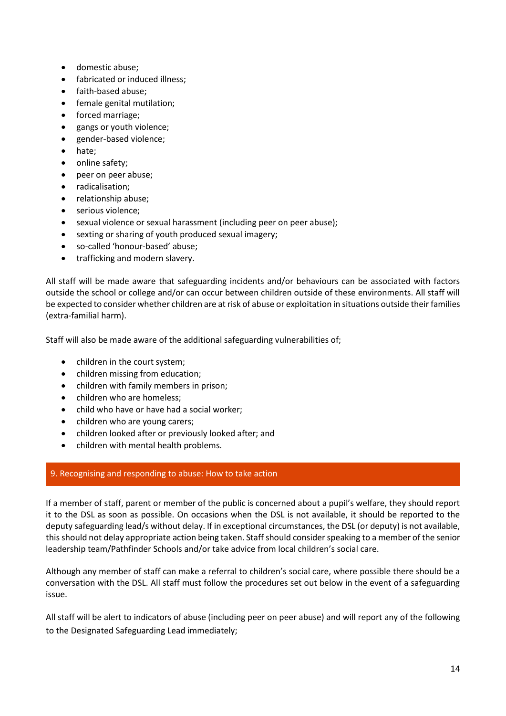- domestic abuse;
- fabricated or induced illness;
- faith-based abuse;
- female genital mutilation;
- forced marriage;
- gangs or youth violence;
- gender-based violence;
- hate;
- online safety;
- peer on peer abuse;
- radicalisation;
- relationship abuse;
- serious violence;
- sexual violence or sexual harassment (including peer on peer abuse);
- sexting or sharing of youth produced sexual imagery;
- so-called 'honour-based' abuse;
- trafficking and modern slavery.

All staff will be made aware that safeguarding incidents and/or behaviours can be associated with factors outside the school or college and/or can occur between children outside of these environments. All staff will be expected to consider whether children are at risk of abuse or exploitation in situations outside their families (extra-familial harm).

Staff will also be made aware of the additional safeguarding vulnerabilities of;

- children in the court system;
- children missing from education;
- children with family members in prison;
- children who are homeless:
- child who have or have had a social worker;
- children who are young carers;
- children looked after or previously looked after; and
- children with mental health problems.

# <span id="page-13-0"></span>9. Recognising and responding to abuse: How to take action

If a member of staff, parent or member of the public is concerned about a pupil's welfare, they should report it to the DSL as soon as possible. On occasions when the DSL is not available, it should be reported to the deputy safeguarding lead/s without delay. If in exceptional circumstances, the DSL (or deputy) is not available, this should not delay appropriate action being taken. Staff should consider speaking to a member of the senior leadership team/Pathfinder Schools and/or take advice from local children's social care.

Although any member of staff can make a referral to children's social care, where possible there should be a conversation with the DSL. All staff must follow the procedures set out below in the event of a safeguarding issue.

All staff will be alert to indicators of abuse (including peer on peer abuse) and will report any of the following to the Designated Safeguarding Lead immediately;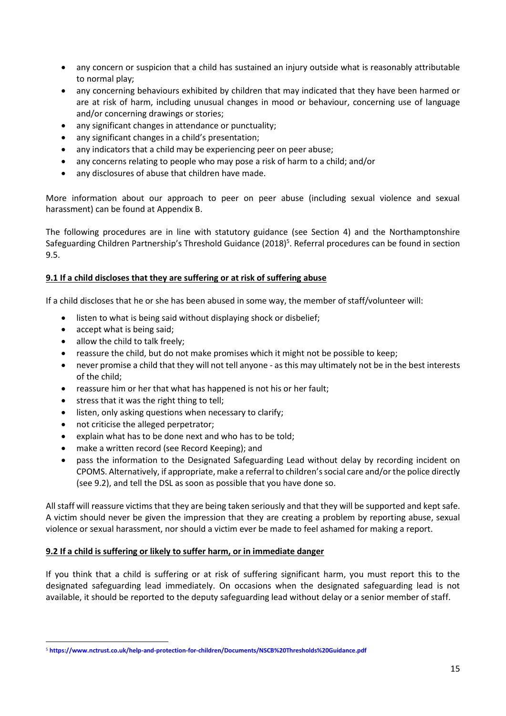- any concern or suspicion that a child has sustained an injury outside what is reasonably attributable to normal play;
- any concerning behaviours exhibited by children that may indicated that they have been harmed or are at risk of harm, including unusual changes in mood or behaviour, concerning use of language and/or concerning drawings or stories;
- any significant changes in attendance or punctuality;
- any significant changes in a child's presentation;
- any indicators that a child may be experiencing peer on peer abuse;
- any concerns relating to people who may pose a risk of harm to a child; and/or
- any disclosures of abuse that children have made.

More information about our approach to peer on peer abuse (including sexual violence and sexual harassment) can be found at Appendix B.

The following procedures are in line with statutory guidance (see Section 4) and the Northamptonshire Safeguarding Children Partnership's Threshold Guidance (2018)<sup>5</sup>. Referral procedures can be found in section 9.5.

# **9.1 If a child discloses that they are suffering or at risk of suffering abuse**

If a child discloses that he or she has been abused in some way, the member of staff/volunteer will:

- listen to what is being said without displaying shock or disbelief;
- accept what is being said;
- allow the child to talk freely:
- reassure the child, but do not make promises which it might not be possible to keep;
- never promise a child that they will not tell anyone as this may ultimately not be in the best interests of the child;
- reassure him or her that what has happened is not his or her fault;
- stress that it was the right thing to tell;
- listen, only asking questions when necessary to clarify;
- not criticise the alleged perpetrator;
- explain what has to be done next and who has to be told;
- make a written record (see Record Keeping); and
- pass the information to the Designated Safeguarding Lead without delay by recording incident on CPOMS. Alternatively, if appropriate, make a referral to children's social care and/or the police directly (see 9.2), and tell the DSL as soon as possible that you have done so.

All staff will reassure victims that they are being taken seriously and that they will be supported and kept safe. A victim should never be given the impression that they are creating a problem by reporting abuse, sexual violence or sexual harassment, nor should a victim ever be made to feel ashamed for making a report.

# **9.2 If a child is suffering or likely to suffer harm, or in immediate danger**

If you think that a child is suffering or at risk of suffering significant harm, you must report this to the designated safeguarding lead immediately. On occasions when the designated safeguarding lead is not available, it should be reported to the deputy safeguarding lead without delay or a senior member of staff.

 $\overline{a}$ <sup>5</sup> **<https://www.nctrust.co.uk/help-and-protection-for-children/Documents/NSCB%20Thresholds%20Guidance.pdf>**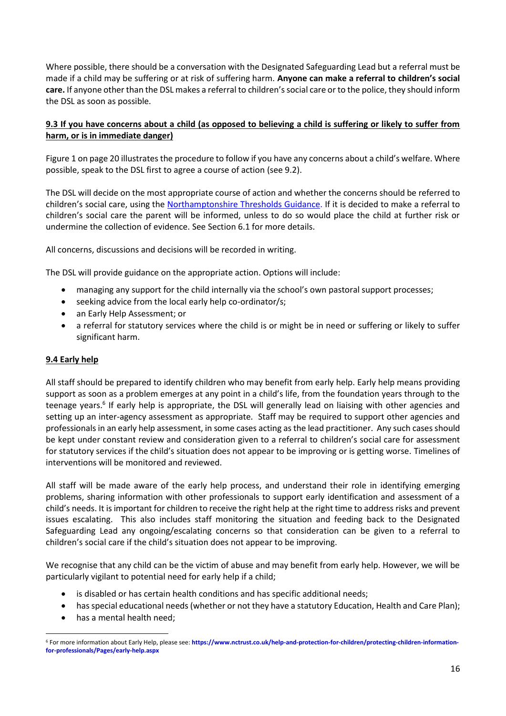Where possible, there should be a conversation with the Designated Safeguarding Lead but a referral must be made if a child may be suffering or at risk of suffering harm. **Anyone can make a referral to children's social care.** If anyone other than the DSL makes a referral to children's social care or to the police, they should inform the DSL as soon as possible.

# **9.3 If you have concerns about a child (as opposed to believing a child is suffering or likely to suffer from harm, or is in immediate danger)**

Figure 1 on page 20 illustrates the procedure to follow if you have any concerns about a child's welfare. Where possible, speak to the DSL first to agree a course of action (see 9.2).

The DSL will decide on the most appropriate course of action and whether the concerns should be referred to children's social care, using the [Northamptonshire Thresholds Guidance.](https://www.nctrust.co.uk/help-and-protection-for-children/Documents/NSCB%20Thresholds%20Guidance%202018%20Updated%20Sept%202020.pdf) If it is decided to make a referral to children's social care the parent will be informed, unless to do so would place the child at further risk or undermine the collection of evidence. See Section 6.1 for more details.

All concerns, discussions and decisions will be recorded in writing.

The DSL will provide guidance on the appropriate action. Options will include:

- managing any support for the child internally via the school's own pastoral support processes;
- seeking advice from the local early help co-ordinator/s;
- an Early Help Assessment; or
- a referral for statutory services where the child is or might be in need or suffering or likely to suffer significant harm.

# **9.4 Early help**

All staff should be prepared to identify children who may benefit from early help. Early help means providing support as soon as a problem emerges at any point in a child's life, from the foundation years through to the teenage years.<sup>6</sup> If early help is appropriate, the DSL will generally lead on liaising with other agencies and setting up an inter-agency assessment as appropriate. Staff may be required to support other agencies and professionals in an early help assessment, in some cases acting as the lead practitioner. Any such cases should be kept under constant review and consideration given to a referral to children's social care for assessment for statutory services if the child's situation does not appear to be improving or is getting worse. Timelines of interventions will be monitored and reviewed.

All staff will be made aware of the early help process, and understand their role in identifying emerging problems, sharing information with other professionals to support early identification and assessment of a child's needs. It is important for children to receive the right help at the right time to address risks and prevent issues escalating. This also includes staff monitoring the situation and feeding back to the Designated Safeguarding Lead any ongoing/escalating concerns so that consideration can be given to a referral to children's social care if the child's situation does not appear to be improving.

We recognise that any child can be the victim of abuse and may benefit from early help. However, we will be particularly vigilant to potential need for early help if a child;

- is disabled or has certain health conditions and has specific additional needs;
- has special educational needs (whether or not they have a statutory Education, Health and Care Plan);
- has a mental health need;

 $\overline{a}$ 

<sup>&</sup>lt;sup>6</sup> For more information about Early Help, please see: [https://www.nctrust.co.uk/help-and-protection-for-children/protecting-children-information](https://www.nctrust.co.uk/help-and-protection-for-children/protecting-children-information-for-professionals/Pages/early-help.aspx)**[for-professionals/Pages/early-help.aspx](https://www.nctrust.co.uk/help-and-protection-for-children/protecting-children-information-for-professionals/Pages/early-help.aspx)**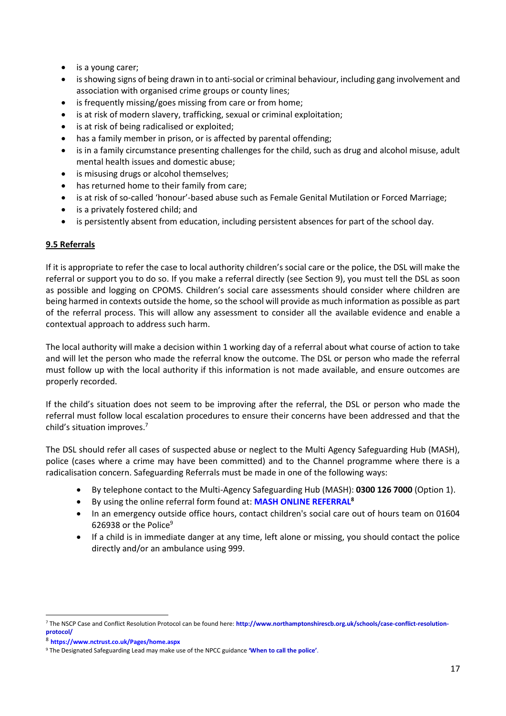- is a young carer;
- is showing signs of being drawn in to anti-social or criminal behaviour, including gang involvement and association with organised crime groups or county lines;
- is frequently missing/goes missing from care or from home;
- is at risk of modern slavery, trafficking, sexual or criminal exploitation;
- is at risk of being radicalised or exploited:
- has a family member in prison, or is affected by parental offending;
- is in a family circumstance presenting challenges for the child, such as drug and alcohol misuse, adult mental health issues and domestic abuse;
- is misusing drugs or alcohol themselves:
- has returned home to their family from care;
- is at risk of so-called 'honour'-based abuse such as Female Genital Mutilation or Forced Marriage;
- is a privately fostered child; and
- is persistently absent from education, including persistent absences for part of the school day.

# **9.5 Referrals**

If it is appropriate to refer the case to local authority children's social care or the police, the DSL will make the referral or support you to do so. If you make a referral directly (see Section 9), you must tell the DSL as soon as possible and logging on CPOMS. Children's social care assessments should consider where children are being harmed in contexts outside the home, so the school will provide as much information as possible as part of the referral process. This will allow any assessment to consider all the available evidence and enable a contextual approach to address such harm.

The local authority will make a decision within 1 working day of a referral about what course of action to take and will let the person who made the referral know the outcome. The DSL or person who made the referral must follow up with the local authority if this information is not made available, and ensure outcomes are properly recorded.

If the child's situation does not seem to be improving after the referral, the DSL or person who made the referral must follow local escalation procedures to ensure their concerns have been addressed and that the child's situation improves.<sup>7</sup>

The DSL should refer all cases of suspected abuse or neglect to the Multi Agency Safeguarding Hub (MASH), police (cases where a crime may have been committed) and to the Channel programme where there is a radicalisation concern. Safeguarding Referrals must be made in one of the following ways:

- By telephone contact to the Multi-Agency Safeguarding Hub (MASH): **0300 126 7000** (Option 1).
- By using the online referral form found at: **[MASH ONLINE REFERRAL](https://northamptonshire-self.achieveservice.com/en/service/Make_a_children_s_referral_to_Northamptonshire_s_MASH#_ga=2.187353770.300324614.1594493492-1170358420.1548097488)<sup>8</sup>**
- In an emergency outside office hours, contact children's social care out of hours team on 01604 626938 or the Police<sup>9</sup>
- If a child is in immediate danger at any time, left alone or missing, you should contact the police directly and/or an ambulance using 999.

**.** 

<sup>7</sup> The NSCP Case and Conflict Resolution Protocol can be found here: **[http://www.northamptonshirescb.org.uk/schools/case-conflict-resolution](http://www.northamptonshirescb.org.uk/schools/case-conflict-resolution-protocol/)[protocol/](http://www.northamptonshirescb.org.uk/schools/case-conflict-resolution-protocol/)**

<sup>8</sup> **<https://www.nctrust.co.uk/Pages/home.aspx>**

<sup>9</sup> The Designated Safeguarding Lead may make use of the NPCC guidance **['When to call the police'](https://www.npcc.police.uk/documents/Children%20and%20Young%20people/When%20to%20call%20the%20police%20guidance%20for%20schools%20and%20colleges.pdf)**.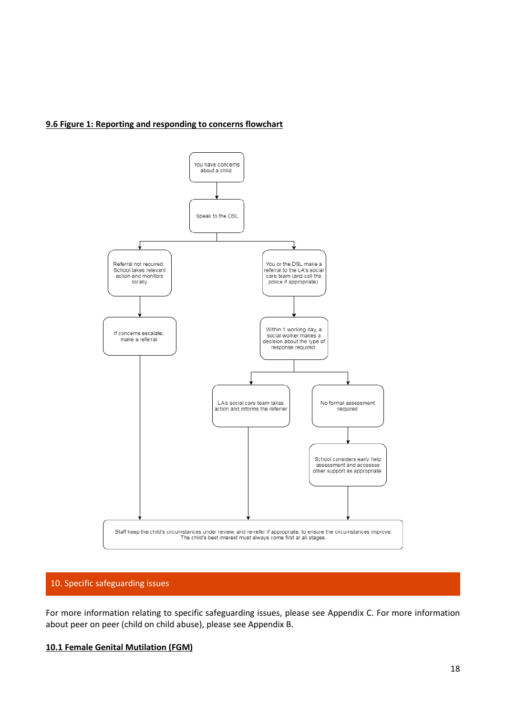#### **9.6 Figure 1: Reporting and responding to concerns flowchart**



# <span id="page-17-0"></span>10. Specific safeguarding issues

For more information relating to specific safeguarding issues, please see Appendix C. For more information about peer on peer (child on child abuse), please see Appendix B.

#### **10.1 Female Genital Mutilation (FGM)**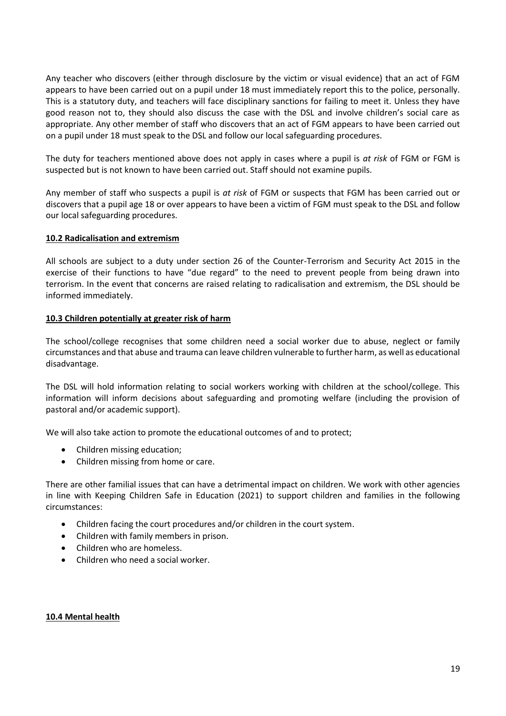Any teacher who discovers (either through disclosure by the victim or visual evidence) that an act of FGM appears to have been carried out on a pupil under 18 must immediately report this to the police, personally. This is a statutory duty, and teachers will face disciplinary sanctions for failing to meet it. Unless they have good reason not to, they should also discuss the case with the DSL and involve children's social care as appropriate. Any other member of staff who discovers that an act of FGM appears to have been carried out on a pupil under 18 must speak to the DSL and follow our local safeguarding procedures.

The duty for teachers mentioned above does not apply in cases where a pupil is *at risk* of FGM or FGM is suspected but is not known to have been carried out. Staff should not examine pupils.

Any member of staff who suspects a pupil is *at risk* of FGM or suspects that FGM has been carried out or discovers that a pupil age 18 or over appears to have been a victim of FGM must speak to the DSL and follow our local safeguarding procedures.

#### **10.2 Radicalisation and extremism**

All schools are subject to a duty under section 26 of the Counter-Terrorism and Security Act 2015 in the exercise of their functions to have "due regard" to the need to prevent people from being drawn into terrorism. In the event that concerns are raised relating to radicalisation and extremism, the DSL should be informed immediately.

# **10.3 Children potentially at greater risk of harm**

The school/college recognises that some children need a social worker due to abuse, neglect or family circumstances and that abuse and trauma can leave children vulnerable to further harm, as well as educational disadvantage.

The DSL will hold information relating to social workers working with children at the school/college. This information will inform decisions about safeguarding and promoting welfare (including the provision of pastoral and/or academic support).

We will also take action to promote the educational outcomes of and to protect;

- Children missing education;
- Children missing from home or care.

There are other familial issues that can have a detrimental impact on children. We work with other agencies in line with Keeping Children Safe in Education (2021) to support children and families in the following circumstances:

- Children facing the court procedures and/or children in the court system.
- Children with family members in prison.
- Children who are homeless.
- Children who need a social worker.

#### **10.4 Mental health**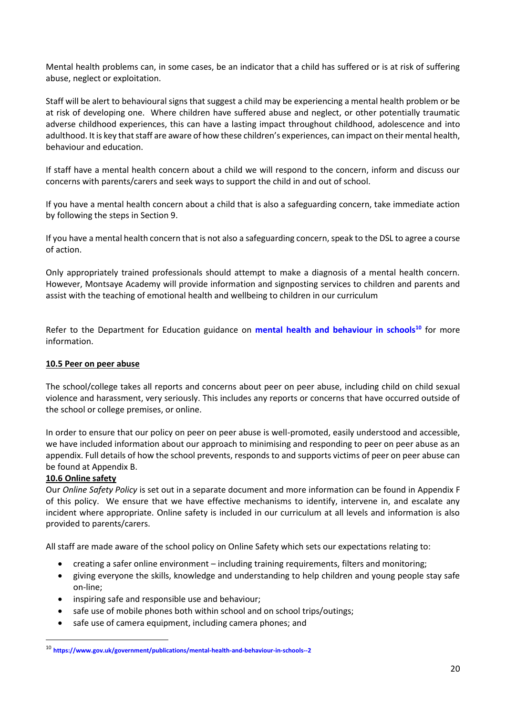Mental health problems can, in some cases, be an indicator that a child has suffered or is at risk of suffering abuse, neglect or exploitation.

Staff will be alert to behavioural signs that suggest a child may be experiencing a mental health problem or be at risk of developing one. Where children have suffered abuse and neglect, or other potentially traumatic adverse childhood experiences, this can have a lasting impact throughout childhood, adolescence and into adulthood. It is key that staff are aware of how these children's experiences, can impact on their mental health, behaviour and education.

If staff have a mental health concern about a child we will respond to the concern, inform and discuss our concerns with parents/carers and seek ways to support the child in and out of school.

If you have a mental health concern about a child that is also a safeguarding concern, take immediate action by following the steps in Section 9.

If you have a mental health concern that is not also a safeguarding concern, speak to the DSL to agree a course of action.

Only appropriately trained professionals should attempt to make a diagnosis of a mental health concern. However, Montsaye Academy will provide information and signposting services to children and parents and assist with the teaching of emotional health and wellbeing to children in our curriculum

Refer to the Department for Education guidance on **[mental health and behaviour in schools](https://www.gov.uk/government/publications/mental-health-and-behaviour-in-schools--2)<sup>10</sup>** for more information.

# **10.5 Peer on peer abuse**

The school/college takes all reports and concerns about peer on peer abuse, including child on child sexual violence and harassment, very seriously. This includes any reports or concerns that have occurred outside of the school or college premises, or online.

In order to ensure that our policy on peer on peer abuse is well-promoted, easily understood and accessible, we have included information about our approach to minimising and responding to peer on peer abuse as an appendix. Full details of how the school prevents, responds to and supports victims of peer on peer abuse can be found at Appendix B.

# **10.6 Online safety**

**.** 

Our *Online Safety Policy* is set out in a separate document and more information can be found in Appendix F of this policy. We ensure that we have effective mechanisms to identify, intervene in, and escalate any incident where appropriate. Online safety is included in our curriculum at all levels and information is also provided to parents/carers.

All staff are made aware of the school policy on Online Safety which sets our expectations relating to:

- creating a safer online environment including training requirements, filters and monitoring;
- giving everyone the skills, knowledge and understanding to help children and young people stay safe on-line;
- inspiring safe and responsible use and behaviour;
- safe use of mobile phones both within school and on school trips/outings;
- safe use of camera equipment, including camera phones; and

<sup>10</sup> **<https://www.gov.uk/government/publications/mental-health-and-behaviour-in-schools--2>**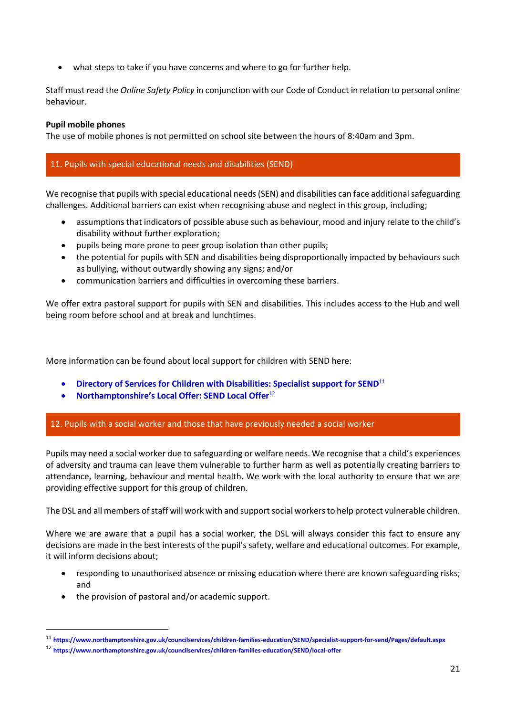• what steps to take if you have concerns and where to go for further help.

Staff must read the *Online Safety Policy* in conjunction with our Code of Conduct in relation to personal online behaviour.

# **Pupil mobile phones**

The use of mobile phones is not permitted on school site between the hours of 8:40am and 3pm.

# <span id="page-20-0"></span>11. Pupils with special educational needs and disabilities (SEND)

We recognise that pupils with special educational needs (SEN) and disabilities can face additional safeguarding challenges. Additional barriers can exist when recognising abuse and neglect in this group, including;

- assumptions that indicators of possible abuse such as behaviour, mood and injury relate to the child's disability without further exploration;
- pupils being more prone to peer group isolation than other pupils;
- the potential for pupils with SEN and disabilities being disproportionally impacted by behaviours such as bullying, without outwardly showing any signs; and/or
- communication barriers and difficulties in overcoming these barriers.

We offer extra pastoral support for pupils with SEN and disabilities. This includes access to the Hub and well being room before school and at break and lunchtimes.

More information can be found about local support for children with SEND here:

- **[Directory of Services for Children with Disabilities: Specialist](https://www.northamptonshire.gov.uk/councilservices/children-families-education/SEND/specialist-support-for-send/Pages/default.aspx) support for SEND**<sup>11</sup>
- **[Northamptonshire's Local Offer: SEND Local Offer](https://www.northamptonshire.gov.uk/councilservices/children-families-education/SEND/local-offer)**<sup>12</sup>

# <span id="page-20-1"></span>12. Pupils with a social worker and those that have previously needed a social worker

Pupils may need a social worker due to safeguarding or welfare needs. We recognise that a child's experiences of adversity and trauma can leave them vulnerable to further harm as well as potentially creating barriers to attendance, learning, behaviour and mental health. We work with the local authority to ensure that we are providing effective support for this group of children.

The DSL and all members of staff will work with and support social workers to help protect vulnerable children.

Where we are aware that a pupil has a social worker, the DSL will always consider this fact to ensure any decisions are made in the best interests of the pupil's safety, welfare and educational outcomes. For example, it will inform decisions about;

- responding to unauthorised absence or missing education where there are known safeguarding risks; and
- the provision of pastoral and/or academic support.

1

<sup>11</sup> **<https://www.northamptonshire.gov.uk/councilservices/children-families-education/SEND/specialist-support-for-send/Pages/default.aspx>**

<sup>12</sup> **<https://www.northamptonshire.gov.uk/councilservices/children-families-education/SEND/local-offer>**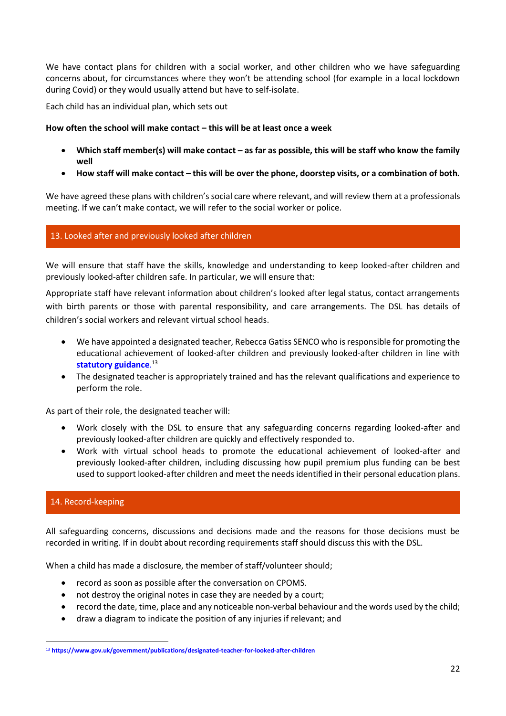We have contact plans for children with a social worker, and other children who we have safeguarding concerns about, for circumstances where they won't be attending school (for example in a local lockdown during Covid) or they would usually attend but have to self-isolate.

Each child has an individual plan, which sets out

# **How often the school will make contact – this will be at least once a week**

- **Which staff member(s) will make contact – as far as possible, this will be staff who know the family well**
- **How staff will make contact – this will be over the phone, doorstep visits, or a combination of both***.*

We have agreed these plans with children's social care where relevant, and will review them at a professionals meeting. If we can't make contact, we will refer to the social worker or police.

# <span id="page-21-0"></span>13. Looked after and previously looked after children

We will ensure that staff have the skills, knowledge and understanding to keep looked-after children and previously looked-after children safe. In particular, we will ensure that:

Appropriate staff have relevant information about children's looked after legal status, contact arrangements with birth parents or those with parental responsibility, and care arrangements. The DSL has details of children's social workers and relevant virtual school heads.

- We have appointed a designated teacher, Rebecca Gatiss SENCO who is responsible for promoting the educational achievement of looked-after children and previously looked-after children in line with **[statutory guidance](https://www.gov.uk/government/publications/designated-teacher-for-looked-after-children)**. 13
- The designated teacher is appropriately trained and has the relevant qualifications and experience to perform the role.

As part of their role, the designated teacher will:

- Work closely with the DSL to ensure that any safeguarding concerns regarding looked-after and previously looked-after children are quickly and effectively responded to.
- Work with virtual school heads to promote the educational achievement of looked-after and previously looked-after children, including discussing how pupil premium plus funding can be best used to support looked-after children and meet the needs identified in their personal education plans.

# <span id="page-21-1"></span>14. Record-keeping

 $\overline{a}$ 

All safeguarding concerns, discussions and decisions made and the reasons for those decisions must be recorded in writing. If in doubt about recording requirements staff should discuss this with the DSL.

When a child has made a disclosure, the member of staff/volunteer should;

- record as soon as possible after the conversation on CPOMS.
- not destroy the original notes in case they are needed by a court;
- record the date, time, place and any noticeable non-verbal behaviour and the words used by the child;
- draw a diagram to indicate the position of any injuries if relevant; and

<sup>13</sup> **<https://www.gov.uk/government/publications/designated-teacher-for-looked-after-children>**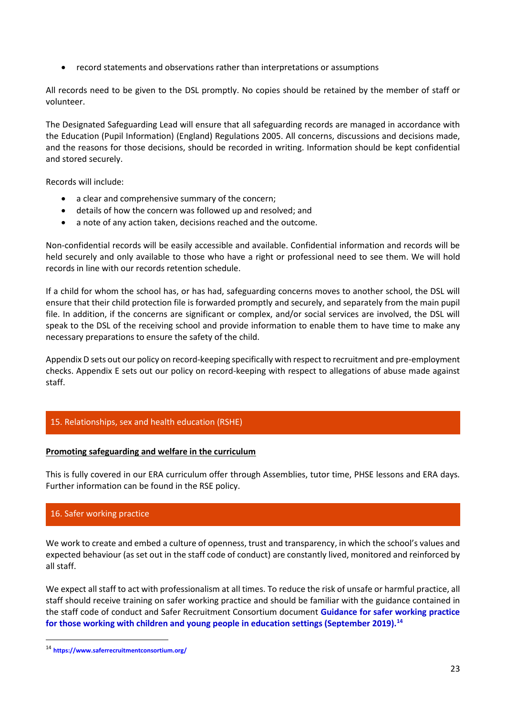• record statements and observations rather than interpretations or assumptions

All records need to be given to the DSL promptly. No copies should be retained by the member of staff or volunteer.

The Designated Safeguarding Lead will ensure that all safeguarding records are managed in accordance with the Education (Pupil Information) (England) Regulations 2005. All concerns, discussions and decisions made, and the reasons for those decisions, should be recorded in writing. Information should be kept confidential and stored securely.

Records will include:

- a clear and comprehensive summary of the concern;
- details of how the concern was followed up and resolved; and
- a note of any action taken, decisions reached and the outcome.

Non-confidential records will be easily accessible and available. Confidential information and records will be held securely and only available to those who have a right or professional need to see them. We will hold records in line with our records retention schedule.

If a child for whom the school has, or has had, safeguarding concerns moves to another school, the DSL will ensure that their child protection file is forwarded promptly and securely, and separately from the main pupil file. In addition, if the concerns are significant or complex, and/or social services are involved, the DSL will speak to the DSL of the receiving school and provide information to enable them to have time to make any necessary preparations to ensure the safety of the child.

Appendix D sets out our policy on record-keeping specifically with respect to recruitment and pre-employment checks. Appendix E sets out our policy on record-keeping with respect to allegations of abuse made against staff.

# <span id="page-22-0"></span>15. Relationships, sex and health education (RSHE)

# **Promoting safeguarding and welfare in the curriculum**

This is fully covered in our ERA curriculum offer through Assemblies, tutor time, PHSE lessons and ERA days. Further information can be found in the RSE policy.

# <span id="page-22-1"></span>16. Safer working practice

We work to create and embed a culture of openness, trust and transparency, in which the school's values and expected behaviour (as set out in the staff code of conduct) are constantly lived, monitored and reinforced by all staff.

We expect all staff to act with professionalism at all times. To reduce the risk of unsafe or harmful practice, all staff should receive training on safer working practice and should be familiar with the guidance contained in the staff code of conduct and Safer Recruitment Consortium document **[Guidance for safer working practice](https://www.saferrecruitmentconsortium.org/GSWP%20Sept%202019.pdf)  [for those working with children and young people in education settings \(September 2019\).](https://www.saferrecruitmentconsortium.org/GSWP%20Sept%202019.pdf)<sup>14</sup>**

**.** 

<sup>14</sup> **<https://www.saferrecruitmentconsortium.org/>**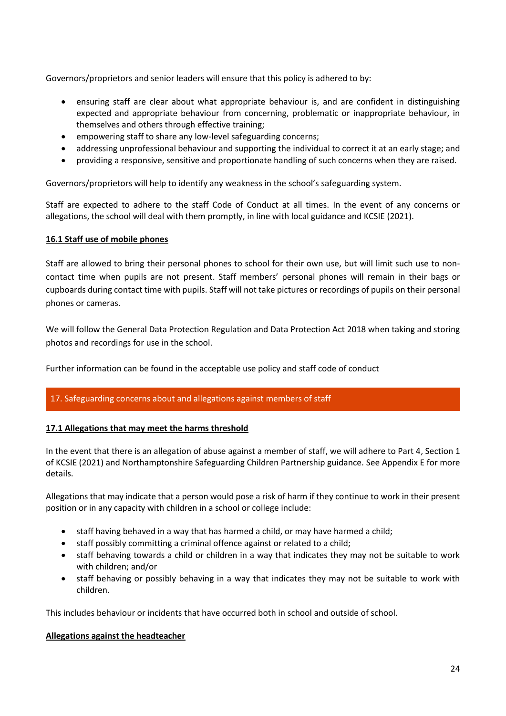Governors/proprietors and senior leaders will ensure that this policy is adhered to by:

- ensuring staff are clear about what appropriate behaviour is, and are confident in distinguishing expected and appropriate behaviour from concerning, problematic or inappropriate behaviour, in themselves and others through effective training;
- empowering staff to share any low-level safeguarding concerns;
- addressing unprofessional behaviour and supporting the individual to correct it at an early stage; and
- providing a responsive, sensitive and proportionate handling of such concerns when they are raised.

Governors/proprietors will help to identify any weakness in the school's safeguarding system.

Staff are expected to adhere to the staff Code of Conduct at all times. In the event of any concerns or allegations, the school will deal with them promptly, in line with local guidance and KCSIE (2021).

# **16.1 Staff use of mobile phones**

Staff are allowed to bring their personal phones to school for their own use, but will limit such use to noncontact time when pupils are not present. Staff members' personal phones will remain in their bags or cupboards during contact time with pupils. Staff will not take pictures or recordings of pupils on their personal phones or cameras.

We will follow the General Data Protection Regulation and Data Protection Act 2018 when taking and storing photos and recordings for use in the school.

Further information can be found in the acceptable use policy and staff code of conduct

# <span id="page-23-0"></span>17. Safeguarding concerns about and allegations against members of staff

# **17.1 Allegations that may meet the harms threshold**

In the event that there is an allegation of abuse against a member of staff, we will adhere to Part 4, Section 1 of KCSIE (2021) and Northamptonshire Safeguarding Children Partnership guidance. See Appendix E for more details.

Allegations that may indicate that a person would pose a risk of harm if they continue to work in their present position or in any capacity with children in a school or college include:

- staff having behaved in a way that has harmed a child, or may have harmed a child;
- staff possibly committing a criminal offence against or related to a child;
- staff behaving towards a child or children in a way that indicates they may not be suitable to work with children; and/or
- staff behaving or possibly behaving in a way that indicates they may not be suitable to work with children.

This includes behaviour or incidents that have occurred both in school and outside of school.

# **Allegations against the headteacher**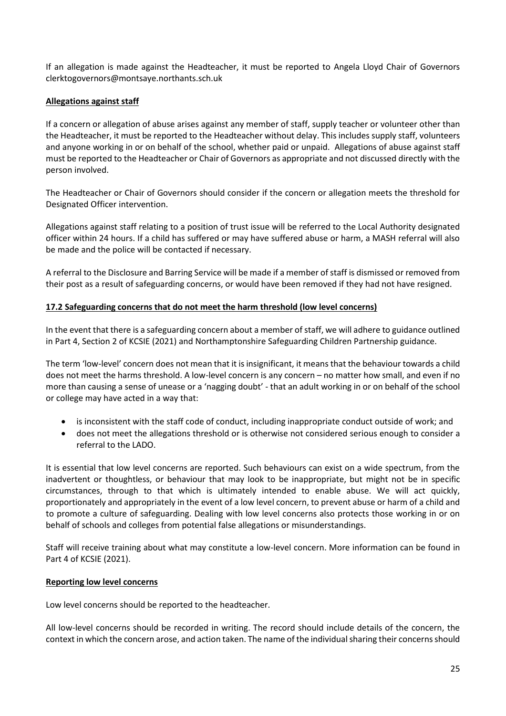If an allegation is made against the Headteacher, it must be reported to Angela Lloyd Chair of Governors clerktogovernors@montsaye.northants.sch.uk

# **Allegations against staff**

If a concern or allegation of abuse arises against any member of staff, supply teacher or volunteer other than the Headteacher, it must be reported to the Headteacher without delay. This includes supply staff, volunteers and anyone working in or on behalf of the school, whether paid or unpaid. Allegations of abuse against staff must be reported to the Headteacher or Chair of Governors as appropriate and not discussed directly with the person involved.

The Headteacher or Chair of Governors should consider if the concern or allegation meets the threshold for Designated Officer intervention.

Allegations against staff relating to a position of trust issue will be referred to the Local Authority designated officer within 24 hours. If a child has suffered or may have suffered abuse or harm, a MASH referral will also be made and the police will be contacted if necessary.

A referral to the Disclosure and Barring Service will be made if a member of staff is dismissed or removed from their post as a result of safeguarding concerns, or would have been removed if they had not have resigned.

# **17.2 Safeguarding concerns that do not meet the harm threshold (low level concerns)**

In the event that there is a safeguarding concern about a member of staff, we will adhere to guidance outlined in Part 4, Section 2 of KCSIE (2021) and Northamptonshire Safeguarding Children Partnership guidance.

The term 'low-level' concern does not mean that it is insignificant, it means that the behaviour towards a child does not meet the harms threshold. A low-level concern is any concern – no matter how small, and even if no more than causing a sense of unease or a 'nagging doubt' - that an adult working in or on behalf of the school or college may have acted in a way that:

- is inconsistent with the staff code of conduct, including inappropriate conduct outside of work; and
- does not meet the allegations threshold or is otherwise not considered serious enough to consider a referral to the LADO.

It is essential that low level concerns are reported. Such behaviours can exist on a wide spectrum, from the inadvertent or thoughtless, or behaviour that may look to be inappropriate, but might not be in specific circumstances, through to that which is ultimately intended to enable abuse. We will act quickly, proportionately and appropriately in the event of a low level concern, to prevent abuse or harm of a child and to promote a culture of safeguarding. Dealing with low level concerns also protects those working in or on behalf of schools and colleges from potential false allegations or misunderstandings.

Staff will receive training about what may constitute a low-level concern. More information can be found in Part 4 of KCSIE (2021).

#### **Reporting low level concerns**

Low level concerns should be reported to the headteacher.

All low-level concerns should be recorded in writing. The record should include details of the concern, the context in which the concern arose, and action taken. The name of the individual sharing their concerns should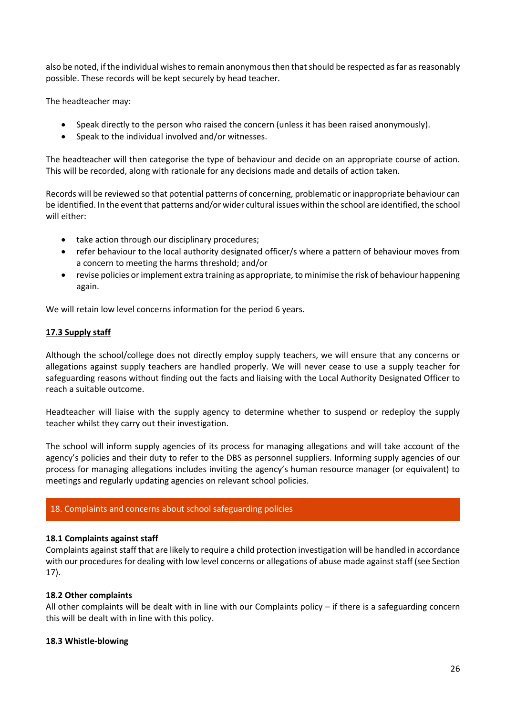also be noted, if the individual wishes to remain anonymous then that should be respected as far as reasonably possible. These records will be kept securely by head teacher.

The headteacher may:

- Speak directly to the person who raised the concern (unless it has been raised anonymously).
- Speak to the individual involved and/or witnesses.

The headteacher will then categorise the type of behaviour and decide on an appropriate course of action. This will be recorded, along with rationale for any decisions made and details of action taken.

Records will be reviewed so that potential patterns of concerning, problematic or inappropriate behaviour can be identified. In the event that patterns and/or wider cultural issues within the school are identified, the school will either:

- take action through our disciplinary procedures;
- refer behaviour to the local authority designated officer/s where a pattern of behaviour moves from a concern to meeting the harms threshold; and/or
- revise policies or implement extra training as appropriate, to minimise the risk of behaviour happening again.

We will retain low level concerns information for the period 6 years.

# **17.3 Supply staff**

Although the school/college does not directly employ supply teachers, we will ensure that any concerns or allegations against supply teachers are handled properly. We will never cease to use a supply teacher for safeguarding reasons without finding out the facts and liaising with the Local Authority Designated Officer to reach a suitable outcome.

Headteacher will liaise with the supply agency to determine whether to suspend or redeploy the supply teacher whilst they carry out their investigation.

The school will inform supply agencies of its process for managing allegations and will take account of the agency's policies and their duty to refer to the DBS as personnel suppliers. Informing supply agencies of our process for managing allegations includes inviting the agency's human resource manager (or equivalent) to meetings and regularly updating agencies on relevant school policies.

# <span id="page-25-0"></span>18. Complaints and concerns about school safeguarding policies

#### **18.1 Complaints against staff**

Complaints against staff that are likely to require a child protection investigation will be handled in accordance with our procedures for dealing with low level concerns or allegations of abuse made against staff (see Section 17).

#### **18.2 Other complaints**

All other complaints will be dealt with in line with our Complaints policy – if there is a safeguarding concern this will be dealt with in line with this policy.

#### **18.3 Whistle-blowing**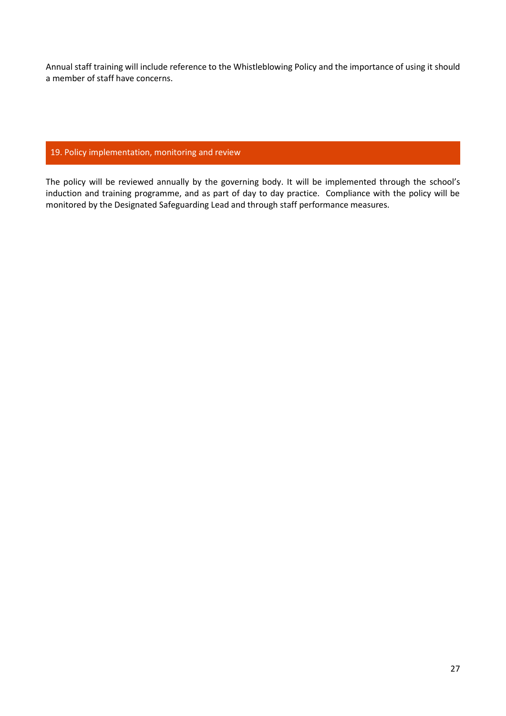Annual staff training will include reference to the Whistleblowing Policy and the importance of using it should a member of staff have concerns.

<span id="page-26-0"></span>19. Policy implementation, monitoring and review

The policy will be reviewed annually by the governing body. It will be implemented through the school's induction and training programme, and as part of day to day practice. Compliance with the policy will be monitored by the Designated Safeguarding Lead and through staff performance measures.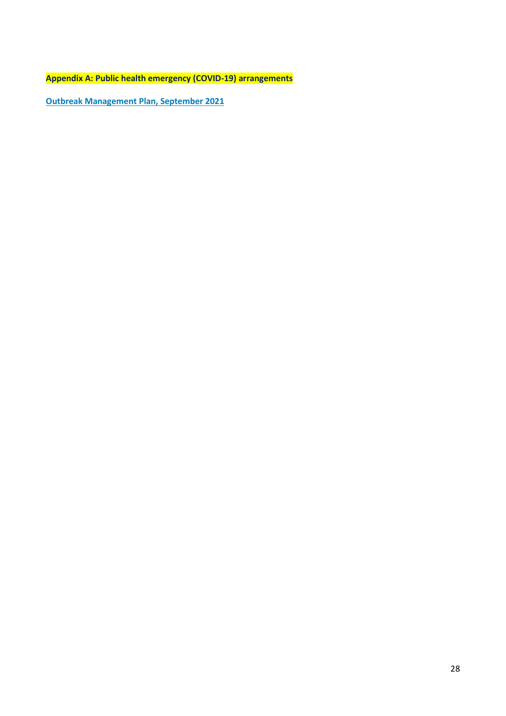<span id="page-27-0"></span>**Appendix A: Public health emergency (COVID-19) arrangements**

**[Outbreak Management Plan, September 2021](https://www.montsaye.northants.sch.uk/assets/Uploads/Outbreak-Management-Plan-Spetember-2021.pdf)**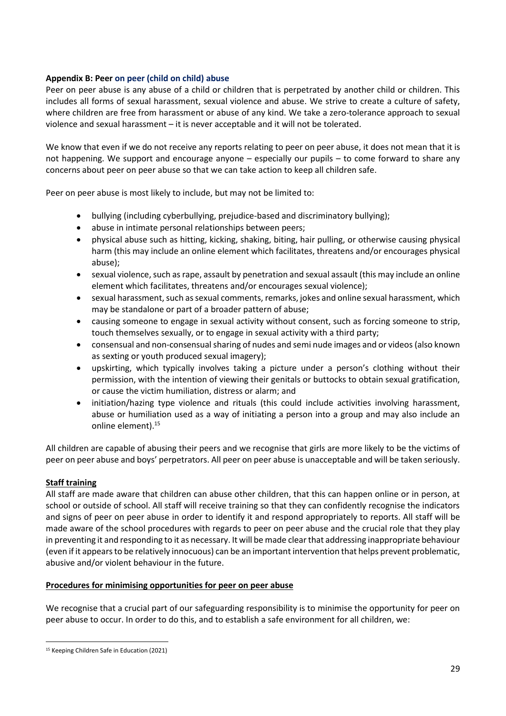# <span id="page-28-0"></span>**Appendix B: Peer on peer (child on child) abuse**

Peer on peer abuse is any abuse of a child or children that is perpetrated by another child or children. This includes all forms of sexual harassment, sexual violence and abuse. We strive to create a culture of safety, where children are free from harassment or abuse of any kind. We take a zero-tolerance approach to sexual violence and sexual harassment – it is never acceptable and it will not be tolerated.

We know that even if we do not receive any reports relating to peer on peer abuse, it does not mean that it is not happening. We support and encourage anyone – especially our pupils – to come forward to share any concerns about peer on peer abuse so that we can take action to keep all children safe.

Peer on peer abuse is most likely to include, but may not be limited to:

- bullying (including cyberbullying, prejudice-based and discriminatory bullying);
- abuse in intimate personal relationships between peers;
- physical abuse such as hitting, kicking, shaking, biting, hair pulling, or otherwise causing physical harm (this may include an online element which facilitates, threatens and/or encourages physical abuse);
- sexual violence, such as rape, assault by penetration and sexual assault (this may include an online element which facilitates, threatens and/or encourages sexual violence);
- sexual harassment, such as sexual comments, remarks, jokes and online sexual harassment, which may be standalone or part of a broader pattern of abuse;
- causing someone to engage in sexual activity without consent, such as forcing someone to strip, touch themselves sexually, or to engage in sexual activity with a third party;
- consensual and non-consensual sharing of nudes and semi nude images and or videos (also known as sexting or youth produced sexual imagery);
- upskirting, which typically involves taking a picture under a person's clothing without their permission, with the intention of viewing their genitals or buttocks to obtain sexual gratification, or cause the victim humiliation, distress or alarm; and
- initiation/hazing type violence and rituals (this could include activities involving harassment, abuse or humiliation used as a way of initiating a person into a group and may also include an online element).<sup>15</sup>

All children are capable of abusing their peers and we recognise that girls are more likely to be the victims of peer on peer abuse and boys' perpetrators. All peer on peer abuse is unacceptable and will be taken seriously.

# **Staff training**

All staff are made aware that children can abuse other children, that this can happen online or in person, at school or outside of school. All staff will receive training so that they can confidently recognise the indicators and signs of peer on peer abuse in order to identify it and respond appropriately to reports. All staff will be made aware of the school procedures with regards to peer on peer abuse and the crucial role that they play in preventing it and responding to it as necessary. It will be made clear that addressing inappropriate behaviour (even if it appears to be relatively innocuous) can be an important intervention that helps prevent problematic, abusive and/or violent behaviour in the future.

#### **Procedures for minimising opportunities for peer on peer abuse**

We recognise that a crucial part of our safeguarding responsibility is to minimise the opportunity for peer on peer abuse to occur. In order to do this, and to establish a safe environment for all children, we:

 $\overline{a}$ <sup>15</sup> Keeping Children Safe in Education (2021)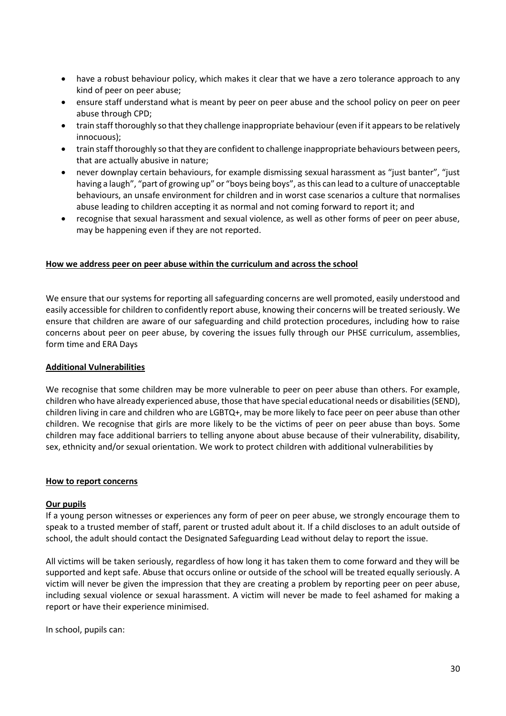- have a robust behaviour policy, which makes it clear that we have a zero tolerance approach to any kind of peer on peer abuse;
- ensure staff understand what is meant by peer on peer abuse and the school policy on peer on peer abuse through CPD;
- train staff thoroughly so that they challenge inappropriate behaviour (even if it appears to be relatively innocuous);
- train staff thoroughly so that they are confident to challenge inappropriate behaviours between peers, that are actually abusive in nature;
- never downplay certain behaviours, for example dismissing sexual harassment as "just banter", "just having a laugh", "part of growing up" or "boys being boys", as this can lead to a culture of unacceptable behaviours, an unsafe environment for children and in worst case scenarios a culture that normalises abuse leading to children accepting it as normal and not coming forward to report it; and
- recognise that sexual harassment and sexual violence, as well as other forms of peer on peer abuse, may be happening even if they are not reported.

# **How we address peer on peer abuse within the curriculum and across the school**

We ensure that our systems for reporting all safeguarding concerns are well promoted, easily understood and easily accessible for children to confidently report abuse, knowing their concerns will be treated seriously. We ensure that children are aware of our safeguarding and child protection procedures, including how to raise concerns about peer on peer abuse, by covering the issues fully through our PHSE curriculum, assemblies, form time and ERA Days

#### **Additional Vulnerabilities**

We recognise that some children may be more vulnerable to peer on peer abuse than others. For example, children who have already experienced abuse, those that have special educational needs or disabilities (SEND), children living in care and children who are LGBTQ+, may be more likely to face peer on peer abuse than other children. We recognise that girls are more likely to be the victims of peer on peer abuse than boys. Some children may face additional barriers to telling anyone about abuse because of their vulnerability, disability, sex, ethnicity and/or sexual orientation. We work to protect children with additional vulnerabilities by

#### **How to report concerns**

# **Our pupils**

If a young person witnesses or experiences any form of peer on peer abuse, we strongly encourage them to speak to a trusted member of staff, parent or trusted adult about it. If a child discloses to an adult outside of school, the adult should contact the Designated Safeguarding Lead without delay to report the issue.

All victims will be taken seriously, regardless of how long it has taken them to come forward and they will be supported and kept safe. Abuse that occurs online or outside of the school will be treated equally seriously. A victim will never be given the impression that they are creating a problem by reporting peer on peer abuse, including sexual violence or sexual harassment. A victim will never be made to feel ashamed for making a report or have their experience minimised.

In school, pupils can: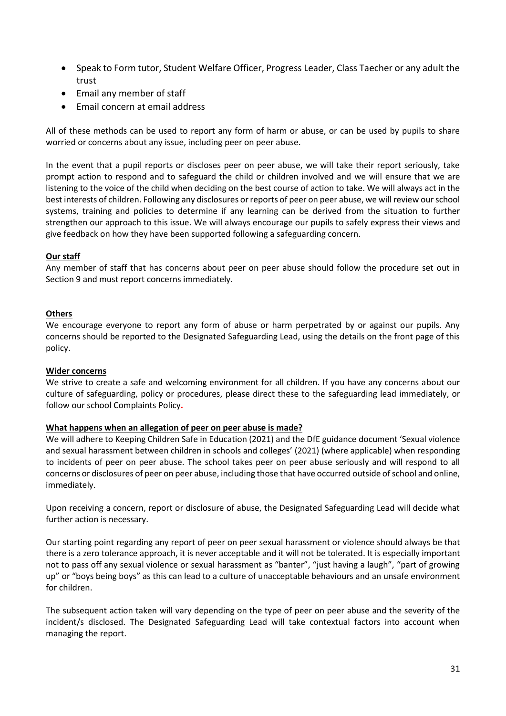- Speak to Form tutor, Student Welfare Officer, Progress Leader, Class Taecher or any adult the trust
- Email any member of staff
- Email concern at email address

All of these methods can be used to report any form of harm or abuse, or can be used by pupils to share worried or concerns about any issue, including peer on peer abuse.

In the event that a pupil reports or discloses peer on peer abuse, we will take their report seriously, take prompt action to respond and to safeguard the child or children involved and we will ensure that we are listening to the voice of the child when deciding on the best course of action to take. We will always act in the best interests of children. Following any disclosures or reports of peer on peer abuse, we will review our school systems, training and policies to determine if any learning can be derived from the situation to further strengthen our approach to this issue. We will always encourage our pupils to safely express their views and give feedback on how they have been supported following a safeguarding concern.

# **Our staff**

Any member of staff that has concerns about peer on peer abuse should follow the procedure set out in Section 9 and must report concerns immediately.

#### **Others**

We encourage everyone to report any form of abuse or harm perpetrated by or against our pupils. Any concerns should be reported to the Designated Safeguarding Lead, using the details on the front page of this policy.

#### **Wider concerns**

We strive to create a safe and welcoming environment for all children. If you have any concerns about our culture of safeguarding, policy or procedures, please direct these to the safeguarding lead immediately, or follow our school Complaints Policy**.** 

#### **What happens when an allegation of peer on peer abuse is made?**

We will adhere to Keeping Children Safe in Education (2021) and the DfE guidance document 'Sexual violence and sexual harassment between children in schools and colleges' (2021) (where applicable) when responding to incidents of peer on peer abuse. The school takes peer on peer abuse seriously and will respond to all concerns or disclosures of peer on peer abuse, including those that have occurred outside of school and online, immediately.

Upon receiving a concern, report or disclosure of abuse, the Designated Safeguarding Lead will decide what further action is necessary.

Our starting point regarding any report of peer on peer sexual harassment or violence should always be that there is a zero tolerance approach, it is never acceptable and it will not be tolerated. It is especially important not to pass off any sexual violence or sexual harassment as "banter", "just having a laugh", "part of growing up" or "boys being boys" as this can lead to a culture of unacceptable behaviours and an unsafe environment for children.

The subsequent action taken will vary depending on the type of peer on peer abuse and the severity of the incident/s disclosed. The Designated Safeguarding Lead will take contextual factors into account when managing the report.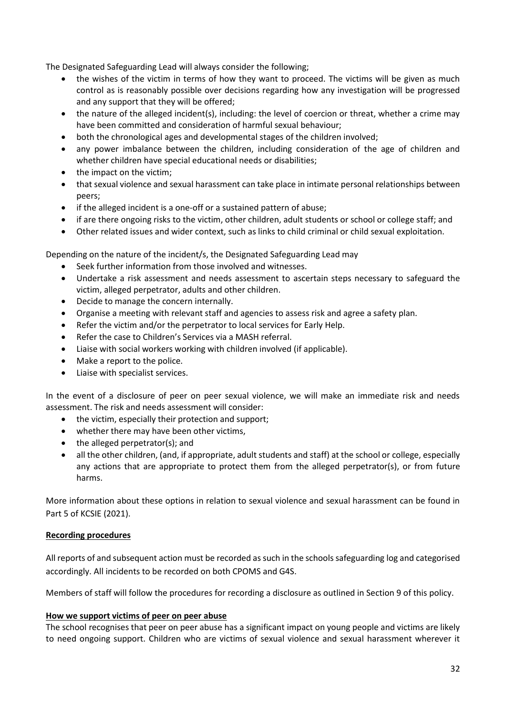The Designated Safeguarding Lead will always consider the following;

- the wishes of the victim in terms of how they want to proceed. The victims will be given as much control as is reasonably possible over decisions regarding how any investigation will be progressed and any support that they will be offered;
- the nature of the alleged incident(s), including: the level of coercion or threat, whether a crime may have been committed and consideration of harmful sexual behaviour;
- both the chronological ages and developmental stages of the children involved;
- any power imbalance between the children, including consideration of the age of children and whether children have special educational needs or disabilities;
- the impact on the victim;
- that sexual violence and sexual harassment can take place in intimate personal relationships between peers;
- if the alleged incident is a one-off or a sustained pattern of abuse;
- if are there ongoing risks to the victim, other children, adult students or school or college staff; and
- Other related issues and wider context, such as links to child criminal or child sexual exploitation.

Depending on the nature of the incident/s, the Designated Safeguarding Lead may

- Seek further information from those involved and witnesses.
- Undertake a risk assessment and needs assessment to ascertain steps necessary to safeguard the victim, alleged perpetrator, adults and other children.
- Decide to manage the concern internally.
- Organise a meeting with relevant staff and agencies to assess risk and agree a safety plan.
- Refer the victim and/or the perpetrator to local services for Early Help.
- Refer the case to Children's Services via a MASH referral.
- Liaise with social workers working with children involved (if applicable).
- Make a report to the police.
- Liaise with specialist services.

In the event of a disclosure of peer on peer sexual violence, we will make an immediate risk and needs assessment. The risk and needs assessment will consider:

- the victim, especially their protection and support;
- whether there may have been other victims,
- the alleged perpetrator(s); and
- all the other children, (and, if appropriate, adult students and staff) at the school or college, especially any actions that are appropriate to protect them from the alleged perpetrator(s), or from future harms.

More information about these options in relation to sexual violence and sexual harassment can be found in Part 5 of KCSIE (2021).

# **Recording procedures**

All reports of and subsequent action must be recorded as such in the schools safeguarding log and categorised accordingly. All incidents to be recorded on both CPOMS and G4S.

Members of staff will follow the procedures for recording a disclosure as outlined in Section 9 of this policy.

#### **How we support victims of peer on peer abuse**

The school recognises that peer on peer abuse has a significant impact on young people and victims are likely to need ongoing support. Children who are victims of sexual violence and sexual harassment wherever it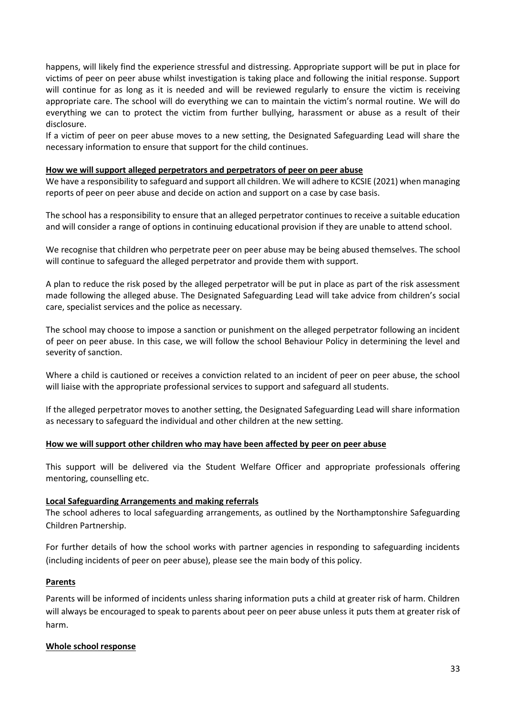happens, will likely find the experience stressful and distressing. Appropriate support will be put in place for victims of peer on peer abuse whilst investigation is taking place and following the initial response. Support will continue for as long as it is needed and will be reviewed regularly to ensure the victim is receiving appropriate care. The school will do everything we can to maintain the victim's normal routine. We will do everything we can to protect the victim from further bullying, harassment or abuse as a result of their disclosure.

If a victim of peer on peer abuse moves to a new setting, the Designated Safeguarding Lead will share the necessary information to ensure that support for the child continues.

#### **How we will support alleged perpetrators and perpetrators of peer on peer abuse**

We have a responsibility to safeguard and support all children. We will adhere to KCSIE (2021) when managing reports of peer on peer abuse and decide on action and support on a case by case basis.

The school has a responsibility to ensure that an alleged perpetrator continues to receive a suitable education and will consider a range of options in continuing educational provision if they are unable to attend school.

We recognise that children who perpetrate peer on peer abuse may be being abused themselves. The school will continue to safeguard the alleged perpetrator and provide them with support.

A plan to reduce the risk posed by the alleged perpetrator will be put in place as part of the risk assessment made following the alleged abuse. The Designated Safeguarding Lead will take advice from children's social care, specialist services and the police as necessary.

The school may choose to impose a sanction or punishment on the alleged perpetrator following an incident of peer on peer abuse. In this case, we will follow the school Behaviour Policy in determining the level and severity of sanction.

Where a child is cautioned or receives a conviction related to an incident of peer on peer abuse, the school will liaise with the appropriate professional services to support and safeguard all students.

If the alleged perpetrator moves to another setting, the Designated Safeguarding Lead will share information as necessary to safeguard the individual and other children at the new setting.

#### **How we will support other children who may have been affected by peer on peer abuse**

This support will be delivered via the Student Welfare Officer and appropriate professionals offering mentoring, counselling etc.

#### **Local Safeguarding Arrangements and making referrals**

The school adheres to local safeguarding arrangements, as outlined by the Northamptonshire Safeguarding Children Partnership.

For further details of how the school works with partner agencies in responding to safeguarding incidents (including incidents of peer on peer abuse), please see the main body of this policy.

#### **Parents**

Parents will be informed of incidents unless sharing information puts a child at greater risk of harm. Children will always be encouraged to speak to parents about peer on peer abuse unless it puts them at greater risk of harm.

#### **Whole school response**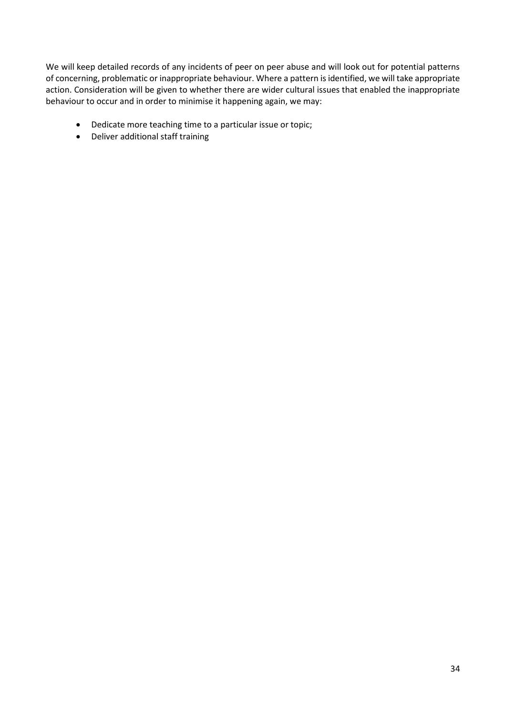We will keep detailed records of any incidents of peer on peer abuse and will look out for potential patterns of concerning, problematic or inappropriate behaviour. Where a pattern is identified, we will take appropriate action. Consideration will be given to whether there are wider cultural issues that enabled the inappropriate behaviour to occur and in order to minimise it happening again, we may:

- Dedicate more teaching time to a particular issue or topic;
- Deliver additional staff training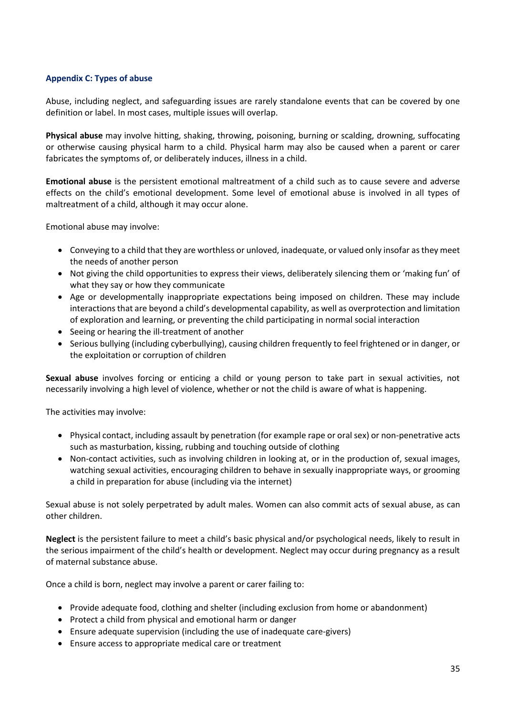# <span id="page-34-0"></span>**Appendix C: Types of abuse**

Abuse, including neglect, and safeguarding issues are rarely standalone events that can be covered by one definition or label. In most cases, multiple issues will overlap.

**Physical abuse** may involve hitting, shaking, throwing, poisoning, burning or scalding, drowning, suffocating or otherwise causing physical harm to a child. Physical harm may also be caused when a parent or carer fabricates the symptoms of, or deliberately induces, illness in a child.

**Emotional abuse** is the persistent emotional maltreatment of a child such as to cause severe and adverse effects on the child's emotional development. Some level of emotional abuse is involved in all types of maltreatment of a child, although it may occur alone.

Emotional abuse may involve:

- Conveying to a child that they are worthless or unloved, inadequate, or valued only insofar as they meet the needs of another person
- Not giving the child opportunities to express their views, deliberately silencing them or 'making fun' of what they say or how they communicate
- Age or developmentally inappropriate expectations being imposed on children. These may include interactions that are beyond a child's developmental capability, as well as overprotection and limitation of exploration and learning, or preventing the child participating in normal social interaction
- Seeing or hearing the ill-treatment of another
- Serious bullying (including cyberbullying), causing children frequently to feel frightened or in danger, or the exploitation or corruption of children

**Sexual abuse** involves forcing or enticing a child or young person to take part in sexual activities, not necessarily involving a high level of violence, whether or not the child is aware of what is happening.

The activities may involve:

- Physical contact, including assault by penetration (for example rape or oral sex) or non-penetrative acts such as masturbation, kissing, rubbing and touching outside of clothing
- Non-contact activities, such as involving children in looking at, or in the production of, sexual images, watching sexual activities, encouraging children to behave in sexually inappropriate ways, or grooming a child in preparation for abuse (including via the internet)

Sexual abuse is not solely perpetrated by adult males. Women can also commit acts of sexual abuse, as can other children.

**Neglect** is the persistent failure to meet a child's basic physical and/or psychological needs, likely to result in the serious impairment of the child's health or development. Neglect may occur during pregnancy as a result of maternal substance abuse.

Once a child is born, neglect may involve a parent or carer failing to:

- Provide adequate food, clothing and shelter (including exclusion from home or abandonment)
- Protect a child from physical and emotional harm or danger
- Ensure adequate supervision (including the use of inadequate care-givers)
- Ensure access to appropriate medical care or treatment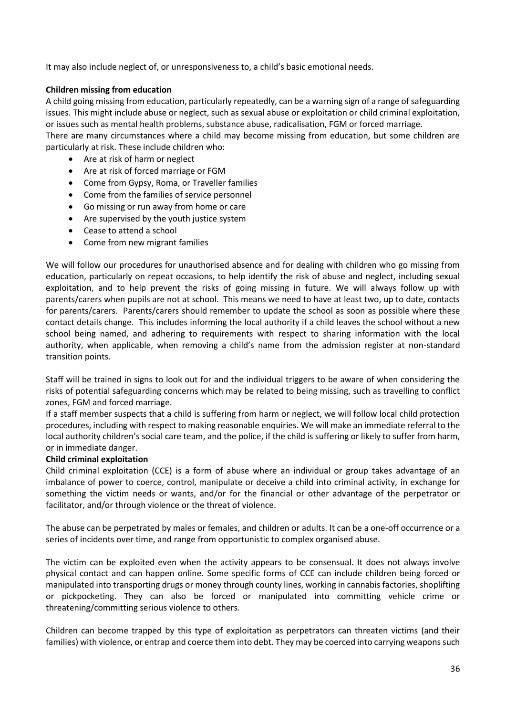It may also include neglect of, or unresponsiveness to, a child's basic emotional needs.

# **Children missing from education**

A child going missing from education, particularly repeatedly, can be a warning sign of a range of safeguarding issues. This might include abuse or neglect, such as sexual abuse or exploitation or child criminal exploitation, or issues such as mental health problems, substance abuse, radicalisation, FGM or forced marriage. There are many circumstances where a child may become missing from education, but some children are particularly at risk. These include children who:

- Are at risk of harm or neglect
- Are at risk of forced marriage or FGM
- Come from Gypsy, Roma, or Traveller families
- Come from the families of service personnel
- Go missing or run away from home or care
- Are supervised by the youth justice system
- Cease to attend a school
- Come from new migrant families

We will follow our procedures for unauthorised absence and for dealing with children who go missing from education, particularly on repeat occasions, to help identify the risk of abuse and neglect, including sexual exploitation, and to help prevent the risks of going missing in future. We will always follow up with parents/carers when pupils are not at school. This means we need to have at least two, up to date, contacts for parents/carers. Parents/carers should remember to update the school as soon as possible where these contact details change.This includes informing the local authority if a child leaves the school without a new school being named, and adhering to requirements with respect to sharing information with the local authority, when applicable, when removing a child's name from the admission register at non-standard transition points.

Staff will be trained in signs to look out for and the individual triggers to be aware of when considering the risks of potential safeguarding concerns which may be related to being missing, such as travelling to conflict zones, FGM and forced marriage.

If a staff member suspects that a child is suffering from harm or neglect, we will follow local child protection procedures, including with respect to making reasonable enquiries. We will make an immediate referral to the local authority children's social care team, and the police, if the child is suffering or likely to suffer from harm, or in immediate danger.

#### **Child criminal exploitation**

Child criminal exploitation (CCE) is a form of abuse where an individual or group takes advantage of an imbalance of power to coerce, control, manipulate or deceive a child into criminal activity, in exchange for something the victim needs or wants, and/or for the financial or other advantage of the perpetrator or facilitator, and/or through violence or the threat of violence.

The abuse can be perpetrated by males or females, and children or adults. It can be a one-off occurrence or a series of incidents over time, and range from opportunistic to complex organised abuse.

The victim can be exploited even when the activity appears to be consensual. It does not always involve physical contact and can happen online. Some specific forms of CCE can include children being forced or manipulated into transporting drugs or money through county lines, working in cannabis factories, shoplifting or pickpocketing. They can also be forced or manipulated into committing vehicle crime or threatening/committing serious violence to others.

Children can become trapped by this type of exploitation as perpetrators can threaten victims (and their families) with violence, or entrap and coerce them into debt. They may be coerced into carrying weapons such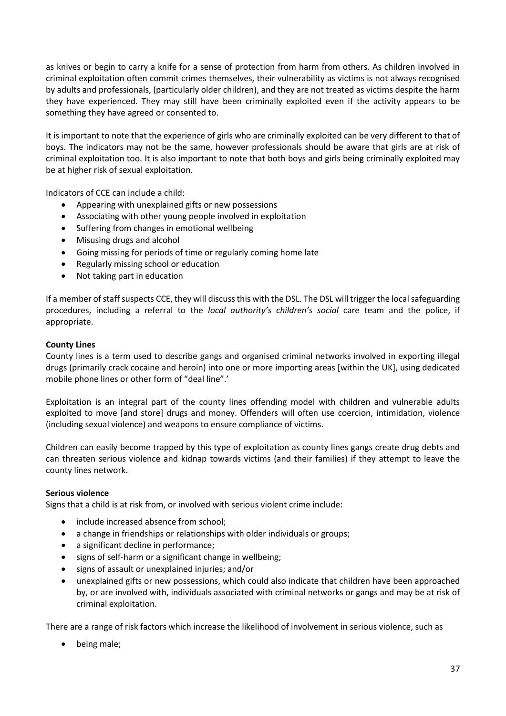as knives or begin to carry a knife for a sense of protection from harm from others. As children involved in criminal exploitation often commit crimes themselves, their vulnerability as victims is not always recognised by adults and professionals, (particularly older children), and they are not treated as victims despite the harm they have experienced. They may still have been criminally exploited even if the activity appears to be something they have agreed or consented to.

It is important to note that the experience of girls who are criminally exploited can be very different to that of boys. The indicators may not be the same, however professionals should be aware that girls are at risk of criminal exploitation too. It is also important to note that both boys and girls being criminally exploited may be at higher risk of sexual exploitation.

Indicators of CCE can include a child:

- Appearing with unexplained gifts or new possessions
- Associating with other young people involved in exploitation
- Suffering from changes in emotional wellbeing
- Misusing drugs and alcohol
- Going missing for periods of time or regularly coming home late
- Regularly missing school or education
- Not taking part in education

If a member of staff suspects CCE, they will discuss this with the DSL. The DSL will trigger the local safeguarding procedures, including a referral to the *local authority's children's social* care team and the police, if appropriate.

#### **County Lines**

County lines is a term used to describe gangs and organised criminal networks involved in exporting illegal drugs (primarily crack cocaine and heroin) into one or more importing areas [within the UK], using dedicated mobile phone lines or other form of "deal line".'

Exploitation is an integral part of the county lines offending model with children and vulnerable adults exploited to move [and store] drugs and money. Offenders will often use coercion, intimidation, violence (including sexual violence) and weapons to ensure compliance of victims.

Children can easily become trapped by this type of exploitation as county lines gangs create drug debts and can threaten serious violence and kidnap towards victims (and their families) if they attempt to leave the county lines network.

#### **Serious violence**

Signs that a child is at risk from, or involved with serious violent crime include:

- include increased absence from school;
- a change in friendships or relationships with older individuals or groups;
- a significant decline in performance;
- signs of self-harm or a significant change in wellbeing;
- signs of assault or unexplained injuries; and/or
- unexplained gifts or new possessions, which could also indicate that children have been approached by, or are involved with, individuals associated with criminal networks or gangs and may be at risk of criminal exploitation.

There are a range of risk factors which increase the likelihood of involvement in serious violence, such as

• being male;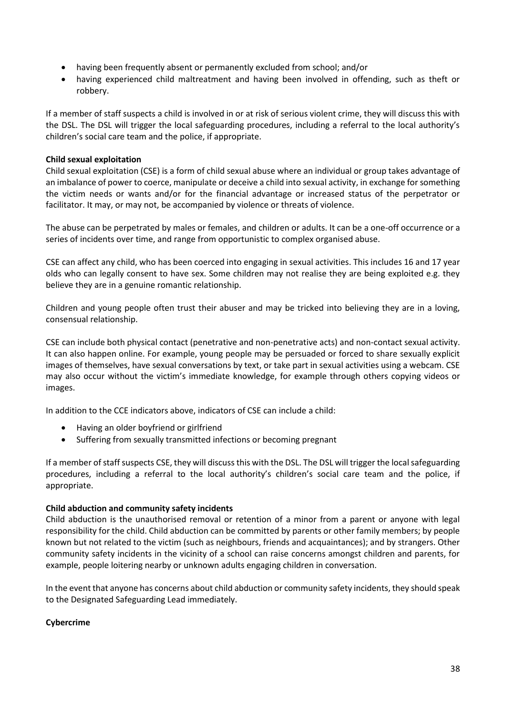- having been frequently absent or permanently excluded from school; and/or
- having experienced child maltreatment and having been involved in offending, such as theft or robbery.

If a member of staff suspects a child is involved in or at risk of serious violent crime, they will discuss this with the DSL. The DSL will trigger the local safeguarding procedures, including a referral to the local authority's children's social care team and the police, if appropriate.

# **Child sexual exploitation**

Child sexual exploitation (CSE) is a form of child sexual abuse where an individual or group takes advantage of an imbalance of power to coerce, manipulate or deceive a child into sexual activity, in exchange for something the victim needs or wants and/or for the financial advantage or increased status of the perpetrator or facilitator. It may, or may not, be accompanied by violence or threats of violence.

The abuse can be perpetrated by males or females, and children or adults. It can be a one-off occurrence or a series of incidents over time, and range from opportunistic to complex organised abuse.

CSE can affect any child, who has been coerced into engaging in sexual activities. This includes 16 and 17 year olds who can legally consent to have sex. Some children may not realise they are being exploited e.g. they believe they are in a genuine romantic relationship.

Children and young people often trust their abuser and may be tricked into believing they are in a loving, consensual relationship.

CSE can include both physical contact (penetrative and non-penetrative acts) and non-contact sexual activity. It can also happen online. For example, young people may be persuaded or forced to share sexually explicit images of themselves, have sexual conversations by text, or take part in sexual activities using a webcam. CSE may also occur without the victim's immediate knowledge, for example through others copying videos or images.

In addition to the CCE indicators above, indicators of CSE can include a child:

- Having an older boyfriend or girlfriend
- Suffering from sexually transmitted infections or becoming pregnant

If a member of staff suspects CSE, they will discuss this with the DSL. The DSL will trigger the local safeguarding procedures, including a referral to the local authority's children's social care team and the police, if appropriate.

#### **Child abduction and community safety incidents**

Child abduction is the unauthorised removal or retention of a minor from a parent or anyone with legal responsibility for the child. Child abduction can be committed by parents or other family members; by people known but not related to the victim (such as neighbours, friends and acquaintances); and by strangers. Other community safety incidents in the vicinity of a school can raise concerns amongst children and parents, for example, people loitering nearby or unknown adults engaging children in conversation.

In the event that anyone has concerns about child abduction or community safety incidents, they should speak to the Designated Safeguarding Lead immediately.

#### **Cybercrime**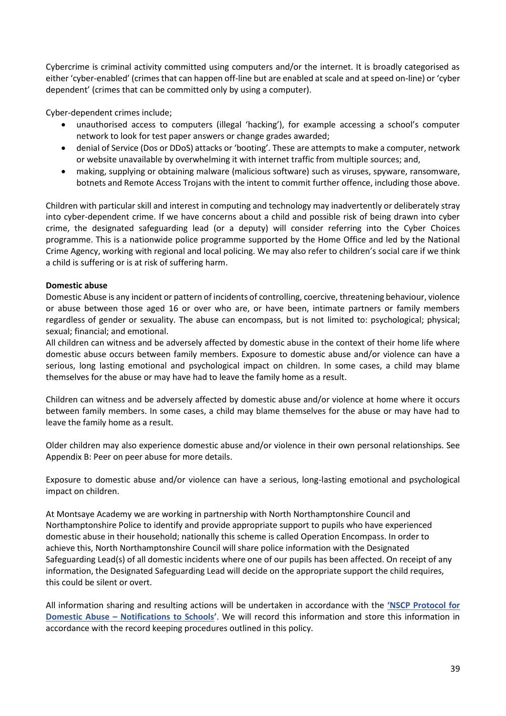Cybercrime is criminal activity committed using computers and/or the internet. It is broadly categorised as either 'cyber-enabled' (crimes that can happen off-line but are enabled at scale and at speed on-line) or 'cyber dependent' (crimes that can be committed only by using a computer).

Cyber-dependent crimes include;

- unauthorised access to computers (illegal 'hacking'), for example accessing a school's computer network to look for test paper answers or change grades awarded;
- denial of Service (Dos or DDoS) attacks or 'booting'. These are attempts to make a computer, network or website unavailable by overwhelming it with internet traffic from multiple sources; and,
- making, supplying or obtaining malware (malicious software) such as viruses, spyware, ransomware, botnets and Remote Access Trojans with the intent to commit further offence, including those above.

Children with particular skill and interest in computing and technology may inadvertently or deliberately stray into cyber-dependent crime. If we have concerns about a child and possible risk of being drawn into cyber crime, the designated safeguarding lead (or a deputy) will consider referring into the Cyber Choices programme. This is a nationwide police programme supported by the Home Office and led by the National Crime Agency, working with regional and local policing. We may also refer to children's social care if we think a child is suffering or is at risk of suffering harm.

# **Domestic abuse**

Domestic Abuse is any incident or pattern of incidents of controlling, coercive, threatening behaviour, violence or abuse between those aged 16 or over who are, or have been, intimate partners or family members regardless of gender or sexuality. The abuse can encompass, but is not limited to: psychological; physical; sexual; financial; and emotional.

All children can witness and be adversely affected by domestic abuse in the context of their home life where domestic abuse occurs between family members. Exposure to domestic abuse and/or violence can have a serious, long lasting emotional and psychological impact on children. In some cases, a child may blame themselves for the abuse or may have had to leave the family home as a result.

Children can witness and be adversely affected by domestic abuse and/or violence at home where it occurs between family members. In some cases, a child may blame themselves for the abuse or may have had to leave the family home as a result.

Older children may also experience domestic abuse and/or violence in their own personal relationships. See Appendix B: Peer on peer abuse for more details.

Exposure to domestic abuse and/or violence can have a serious, long-lasting emotional and psychological impact on children.

At Montsaye Academy we are working in partnership with North Northamptonshire Council and Northamptonshire Police to identify and provide appropriate support to pupils who have experienced domestic abuse in their household; nationally this scheme is called Operation Encompass. In order to achieve this, North Northamptonshire Council will share police information with the Designated Safeguarding Lead(s) of all domestic incidents where one of our pupils has been affected. On receipt of any information, the Designated Safeguarding Lead will decide on the appropriate support the child requires, this could be silent or overt.

All information sharing and resulting actions will be undertaken in accordance with the **'NSCP [Protocol for](https://www.nctrust.co.uk/help-and-protection-for-children/protecting-children-information-for-professionals/Pages/domestic-abuse-notification-to-schools.aspx)  Domestic Abuse – [Notifications to Schools](https://www.nctrust.co.uk/help-and-protection-for-children/protecting-children-information-for-professionals/Pages/domestic-abuse-notification-to-schools.aspx)'**. We will record this information and store this information in accordance with the record keeping procedures outlined in this policy.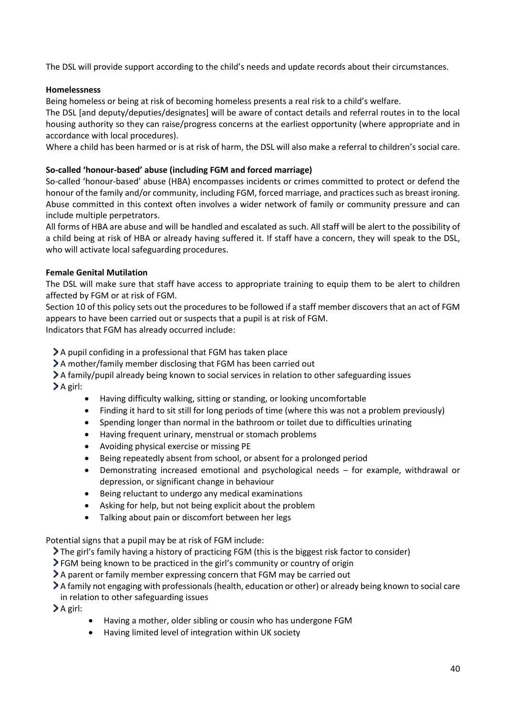The DSL will provide support according to the child's needs and update records about their circumstances.

# **Homelessness**

Being homeless or being at risk of becoming homeless presents a real risk to a child's welfare.

The DSL [and deputy/deputies/designates] will be aware of contact details and referral routes in to the local housing authority so they can raise/progress concerns at the earliest opportunity (where appropriate and in accordance with local procedures).

Where a child has been harmed or is at risk of harm, the DSL will also make a referral to children's social care.

# **So-called 'honour-based' abuse (including FGM and forced marriage)**

So-called 'honour-based' abuse (HBA) encompasses incidents or crimes committed to protect or defend the honour of the family and/or community, including FGM, forced marriage, and practices such as breast ironing. Abuse committed in this context often involves a wider network of family or community pressure and can include multiple perpetrators.

All forms of HBA are abuse and will be handled and escalated as such. All staff will be alert to the possibility of a child being at risk of HBA or already having suffered it. If staff have a concern, they will speak to the DSL, who will activate local safeguarding procedures.

# **Female Genital Mutilation**

The DSL will make sure that staff have access to appropriate training to equip them to be alert to children affected by FGM or at risk of FGM.

Section 10 of this policy sets out the procedures to be followed if a staff member discovers that an act of FGM appears to have been carried out or suspects that a pupil is at risk of FGM. Indicators that FGM has already occurred include:

A pupil confiding in a professional that FGM has taken place

A mother/family member disclosing that FGM has been carried out

A family/pupil already being known to social services in relation to other safeguarding issues > A girl:

- Having difficulty walking, sitting or standing, or looking uncomfortable
- Finding it hard to sit still for long periods of time (where this was not a problem previously)
- Spending longer than normal in the bathroom or toilet due to difficulties urinating
- Having frequent urinary, menstrual or stomach problems
- Avoiding physical exercise or missing PE
- Being repeatedly absent from school, or absent for a prolonged period
- Demonstrating increased emotional and psychological needs for example, withdrawal or depression, or significant change in behaviour
- Being reluctant to undergo any medical examinations
- Asking for help, but not being explicit about the problem
- Talking about pain or discomfort between her legs

Potential signs that a pupil may be at risk of FGM include:

The girl's family having a history of practicing FGM (this is the biggest risk factor to consider)

FGM being known to be practiced in the girl's community or country of origin

A parent or family member expressing concern that FGM may be carried out

A family not engaging with professionals (health, education or other) or already being known to social care in relation to other safeguarding issues

> A girl:

- Having a mother, older sibling or cousin who has undergone FGM
- Having limited level of integration within UK society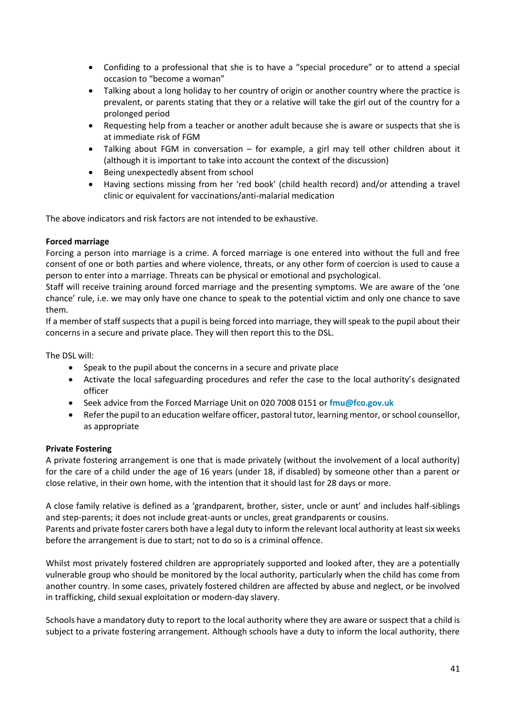- Confiding to a professional that she is to have a "special procedure" or to attend a special occasion to "become a woman"
- Talking about a long holiday to her country of origin or another country where the practice is prevalent, or parents stating that they or a relative will take the girl out of the country for a prolonged period
- Requesting help from a teacher or another adult because she is aware or suspects that she is at immediate risk of FGM
- Talking about FGM in conversation for example, a girl may tell other children about it (although it is important to take into account the context of the discussion)
- Being unexpectedly absent from school
- Having sections missing from her 'red book' (child health record) and/or attending a travel clinic or equivalent for vaccinations/anti-malarial medication

The above indicators and risk factors are not intended to be exhaustive.

# **Forced marriage**

Forcing a person into marriage is a crime. A forced marriage is one entered into without the full and free consent of one or both parties and where violence, threats, or any other form of coercion is used to cause a person to enter into a marriage. Threats can be physical or emotional and psychological.

Staff will receive training around forced marriage and the presenting symptoms. We are aware of the 'one chance' rule, i.e. we may only have one chance to speak to the potential victim and only one chance to save them.

If a member of staff suspects that a pupil is being forced into marriage, they will speak to the pupil about their concerns in a secure and private place. They will then report this to the DSL.

The DSL will:

- Speak to the pupil about the concerns in a secure and private place
- Activate the local safeguarding procedures and refer the case to the local authority's designated officer
- Seek advice from the Forced Marriage Unit on 020 7008 0151 or **[fmu@fco.gov.uk](mailto:fmu@fco.gov.uk)**
- Refer the pupil to an education welfare officer, pastoral tutor, learning mentor, or school counsellor, as appropriate

# **Private Fostering**

A private fostering arrangement is one that is made privately (without the involvement of a local authority) for the care of a child under the age of 16 years (under 18, if disabled) by someone other than a parent or close relative, in their own home, with the intention that it should last for 28 days or more.

A close family relative is defined as a 'grandparent, brother, sister, uncle or aunt' and includes half-siblings and step-parents; it does not include great-aunts or uncles, great grandparents or cousins.

Parents and private foster carers both have a legal duty to inform the relevant local authority at least six weeks before the arrangement is due to start; not to do so is a criminal offence.

Whilst most privately fostered children are appropriately supported and looked after, they are a potentially vulnerable group who should be monitored by the local authority, particularly when the child has come from another country. In some cases, privately fostered children are affected by abuse and neglect, or be involved in trafficking, child sexual exploitation or modern-day slavery.

Schools have a mandatory duty to report to the local authority where they are aware or suspect that a child is subject to a private fostering arrangement. Although schools have a duty to inform the local authority, there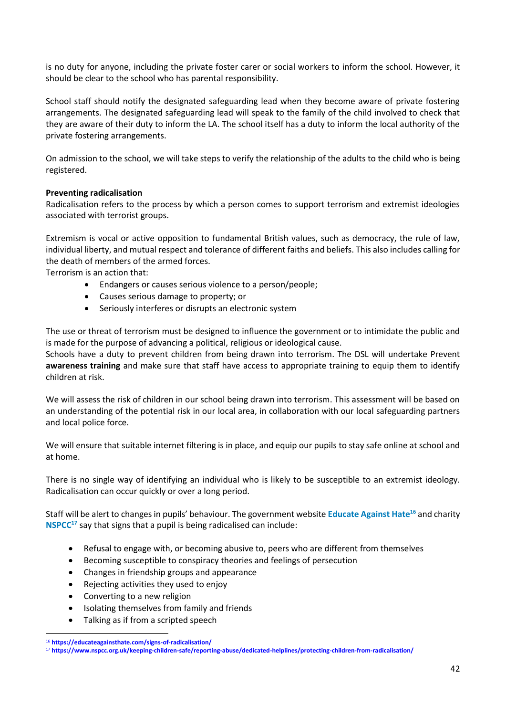is no duty for anyone, including the private foster carer or social workers to inform the school. However, it should be clear to the school who has parental responsibility.

School staff should notify the designated safeguarding lead when they become aware of private fostering arrangements. The designated safeguarding lead will speak to the family of the child involved to check that they are aware of their duty to inform the LA. The school itself has a duty to inform the local authority of the private fostering arrangements.

On admission to the school, we will take steps to verify the relationship of the adults to the child who is being registered.

# **Preventing radicalisation**

Radicalisation refers to the process by which a person comes to support terrorism and extremist ideologies associated with terrorist groups.

Extremism is vocal or active opposition to fundamental British values, such as democracy, the rule of law, individual liberty, and mutual respect and tolerance of different faiths and beliefs. This also includes calling for the death of members of the armed forces.

Terrorism is an action that:

- Endangers or causes serious violence to a person/people;
- Causes serious damage to property; or
- Seriously interferes or disrupts an electronic system

The use or threat of terrorism must be designed to influence the government or to intimidate the public and is made for the purpose of advancing a political, religious or ideological cause.

Schools have a duty to prevent children from being drawn into terrorism. The DSL will undertake Prevent **awareness training** and make sure that staff have access to appropriate training to equip them to identify children at risk.

We will assess the risk of children in our school being drawn into terrorism. This assessment will be based on an understanding of the potential risk in our local area, in collaboration with our local safeguarding partners and local police force.

We will ensure that suitable internet filtering is in place, and equip our pupils to stay safe online at school and at home.

There is no single way of identifying an individual who is likely to be susceptible to an extremist ideology. Radicalisation can occur quickly or over a long period.

Staff will be alert to changes in pupils' behaviour. The government website **[Educate Against Hate](http://educateagainsthate.com/parents/what-are-the-warning-signs/)<sup>16</sup>** and charity **[NSPCC](https://www.nspcc.org.uk/what-you-can-do/report-abuse/dedicated-helplines/protecting-children-from-radicalisation/)<sup>17</sup>** say that signs that a pupil is being radicalised can include:

- Refusal to engage with, or becoming abusive to, peers who are different from themselves
- Becoming susceptible to conspiracy theories and feelings of persecution
- Changes in friendship groups and appearance
- Rejecting activities they used to enjoy
- Converting to a new religion
- Isolating themselves from family and friends
- Talking as if from a scripted speech

 $\overline{a}$ <sup>16</sup> **<https://educateagainsthate.com/signs-of-radicalisation/>**

<sup>17</sup> **<https://www.nspcc.org.uk/keeping-children-safe/reporting-abuse/dedicated-helplines/protecting-children-from-radicalisation/>**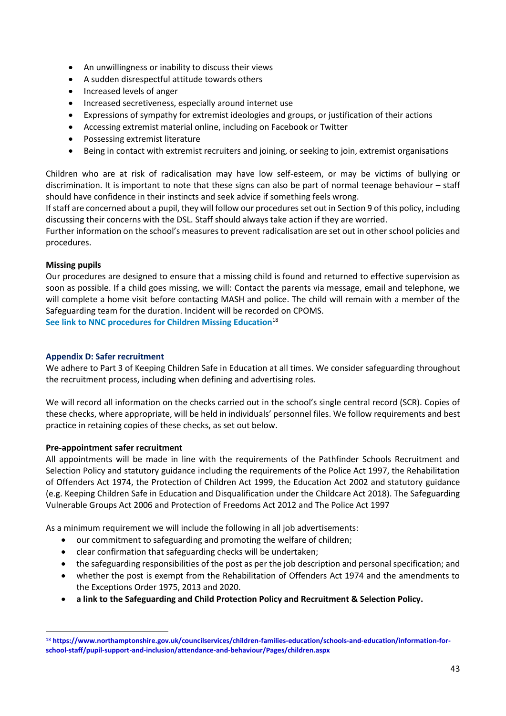- An unwillingness or inability to discuss their views
- A sudden disrespectful attitude towards others
- Increased levels of anger
- Increased secretiveness, especially around internet use
- Expressions of sympathy for extremist ideologies and groups, or justification of their actions
- Accessing extremist material online, including on Facebook or Twitter
- Possessing extremist literature
- Being in contact with extremist recruiters and joining, or seeking to join, extremist organisations

Children who are at risk of radicalisation may have low self-esteem, or may be victims of bullying or discrimination. It is important to note that these signs can also be part of normal teenage behaviour – staff should have confidence in their instincts and seek advice if something feels wrong.

If staff are concerned about a pupil, they will follow our procedures set out in Section 9 of this policy, including discussing their concerns with the DSL. Staff should always take action if they are worried.

Further information on the school's measures to prevent radicalisation are set out in other school policies and procedures.

# **Missing pupils**

Our procedures are designed to ensure that a missing child is found and returned to effective supervision as soon as possible. If a child goes missing, we will: Contact the parents via message, email and telephone, we will complete a home visit before contacting MASH and police. The child will remain with a member of the Safeguarding team for the duration. Incident will be recorded on CPOMS.

**See link to NNC [procedures for Children Missing Education](https://www.northamptonshire.gov.uk/councilservices/children-families-education/schools-and-education/information-for-school-staff/pupil-support-and-inclusion/attendance-and-behaviour/Pages/children.aspx)**<sup>18</sup>

# <span id="page-42-0"></span>**Appendix D: Safer recruitment**

We adhere to Part 3 of Keeping Children Safe in Education at all times. We consider safeguarding throughout the recruitment process, including when defining and advertising roles.

We will record all information on the checks carried out in the school's single central record (SCR). Copies of these checks, where appropriate, will be held in individuals' personnel files. We follow requirements and best practice in retaining copies of these checks, as set out below.

# **Pre-appointment safer recruitment**

All appointments will be made in line with the requirements of the Pathfinder Schools Recruitment and Selection Policy and statutory guidance including the requirements of the Police Act 1997, the Rehabilitation of Offenders Act 1974, the Protection of Children Act 1999, the Education Act 2002 and statutory guidance (e.g. Keeping Children Safe in Education and Disqualification under the Childcare Act 2018). The Safeguarding Vulnerable Groups Act 2006 and Protection of Freedoms Act 2012 and The Police Act 1997

As a minimum requirement we will include the following in all job advertisements:

- our commitment to safeguarding and promoting the welfare of children;
- clear confirmation that safeguarding checks will be undertaken;
- the safeguarding responsibilities of the post as per the job description and personal specification; and
- whether the post is exempt from the Rehabilitation of Offenders Act 1974 and the amendments to the Exceptions Order 1975, 2013 and 2020.
- **a link to the Safeguarding and Child Protection Policy and Recruitment & Selection Policy.**

**<sup>.</sup>** <sup>18</sup> **[https://www.northamptonshire.gov.uk/councilservices/children-families-education/schools-and-education/information-for](https://www.northamptonshire.gov.uk/councilservices/children-families-education/schools-and-education/information-for-school-staff/pupil-support-and-inclusion/attendance-and-behaviour/Pages/children.aspx)[school-staff/pupil-support-and-inclusion/attendance-and-behaviour/Pages/children.aspx](https://www.northamptonshire.gov.uk/councilservices/children-families-education/schools-and-education/information-for-school-staff/pupil-support-and-inclusion/attendance-and-behaviour/Pages/children.aspx)**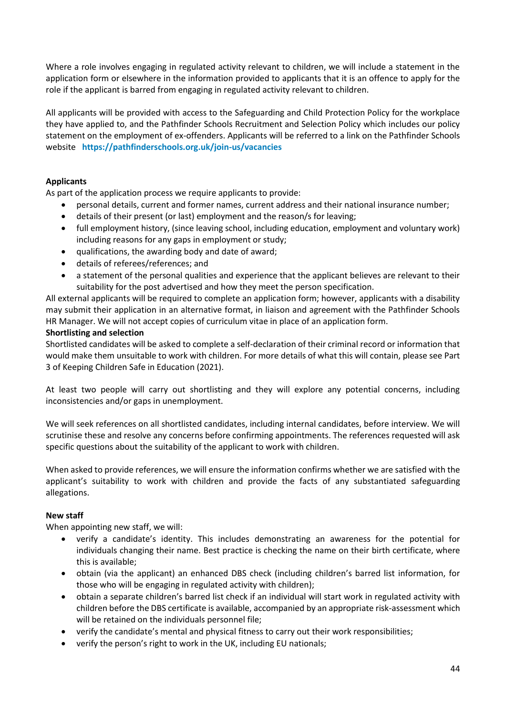Where a role involves engaging in regulated activity relevant to children, we will include a statement in the application form or elsewhere in the information provided to applicants that it is an offence to apply for the role if the applicant is barred from engaging in regulated activity relevant to children.

All applicants will be provided with access to the Safeguarding and Child Protection Policy for the workplace they have applied to, and the Pathfinder Schools Recruitment and Selection Policy which includes our policy statement on the employment of ex-offenders. Applicants will be referred to a link on the Pathfinder Schools website **<https://pathfinderschools.org.uk/join-us/vacancies>**

# **Applicants**

As part of the application process we require applicants to provide:

- personal details, current and former names, current address and their national insurance number;
- details of their present (or last) employment and the reason/s for leaving;
- full employment history, (since leaving school, including education, employment and voluntary work) including reasons for any gaps in employment or study;
- qualifications, the awarding body and date of award;
- details of referees/references; and
- a statement of the personal qualities and experience that the applicant believes are relevant to their suitability for the post advertised and how they meet the person specification.

All external applicants will be required to complete an application form; however, applicants with a disability may submit their application in an alternative format, in liaison and agreement with the Pathfinder Schools HR Manager. We will not accept copies of curriculum vitae in place of an application form.

# **Shortlisting and selection**

Shortlisted candidates will be asked to complete a self-declaration of their criminal record or information that would make them unsuitable to work with children. For more details of what this will contain, please see Part 3 of Keeping Children Safe in Education (2021).

At least two people will carry out shortlisting and they will explore any potential concerns, including inconsistencies and/or gaps in unemployment.

We will seek references on all shortlisted candidates, including internal candidates, before interview. We will scrutinise these and resolve any concerns before confirming appointments. The references requested will ask specific questions about the suitability of the applicant to work with children.

When asked to provide references, we will ensure the information confirms whether we are satisfied with the applicant's suitability to work with children and provide the facts of any substantiated safeguarding allegations.

# **New staff**

When appointing new staff, we will:

- verify a candidate's identity. This includes demonstrating an awareness for the potential for individuals changing their name. Best practice is checking the name on their birth certificate, where this is available;
- obtain (via the applicant) an enhanced DBS check (including children's barred list information, for those who will be engaging in regulated activity with children);
- obtain a separate children's barred list check if an individual will start work in regulated activity with children before the DBS certificate is available, accompanied by an appropriate risk-assessment which will be retained on the individuals personnel file;
- verify the candidate's mental and physical fitness to carry out their work responsibilities;
- verify the person's right to work in the UK, including EU nationals;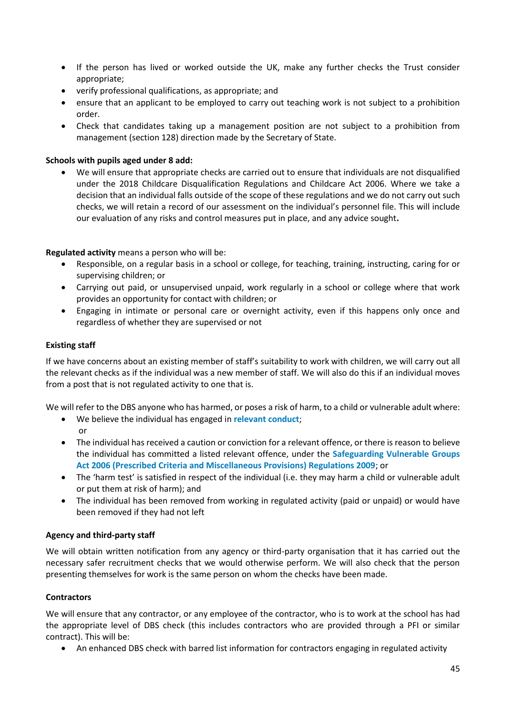- If the person has lived or worked outside the UK, make any further checks the Trust consider appropriate;
- verify professional qualifications, as appropriate; and
- ensure that an applicant to be employed to carry out teaching work is not subject to a prohibition order.
- Check that candidates taking up a management position are not subject to a prohibition from management (section 128) direction made by the Secretary of State.

# **Schools with pupils aged under 8 add:**

• We will ensure that appropriate checks are carried out to ensure that individuals are not disqualified under the 2018 Childcare Disqualification Regulations and Childcare Act 2006. Where we take a decision that an individual falls outside of the scope of these regulations and we do not carry out such checks, we will retain a record of our assessment on the individual's personnel file. This will include our evaluation of any risks and control measures put in place, and any advice sought**.**

**Regulated activity** means a person who will be:

- Responsible, on a regular basis in a school or college, for teaching, training, instructing, caring for or supervising children; or
- Carrying out paid, or unsupervised unpaid, work regularly in a school or college where that work provides an opportunity for contact with children; or
- Engaging in intimate or personal care or overnight activity, even if this happens only once and regardless of whether they are supervised or not

# **Existing staff**

If we have concerns about an existing member of staff's suitability to work with children, we will carry out all the relevant checks as if the individual was a new member of staff. We will also do this if an individual moves from a post that is not regulated activity to one that is.

We will refer to the DBS anyone who has harmed, or poses a risk of harm, to a child or vulnerable adult where:

- We believe the individual has engaged in **[relevant conduct](https://www.gov.uk/guidance/making-barring-referrals-to-the-dbs#relevant-conduct-in-relation-to-children)**; or
- The individual has received a caution or conviction for a relevant offence, or there is reason to believe the individual has committed a listed relevant offence, under the **[Safeguarding Vulnerable Groups](http://www.legislation.gov.uk/uksi/2009/37/contents/made)  [Act 2006 \(Prescribed Criteria and Miscellaneous Provisions\) Regulations 2009](http://www.legislation.gov.uk/uksi/2009/37/contents/made)**; or
- The 'harm test' is satisfied in respect of the individual (i.e. they may harm a child or vulnerable adult or put them at risk of harm); and
- The individual has been removed from working in regulated activity (paid or unpaid) or would have been removed if they had not left

#### **Agency and third-party staff**

We will obtain written notification from any agency or third-party organisation that it has carried out the necessary safer recruitment checks that we would otherwise perform. We will also check that the person presenting themselves for work is the same person on whom the checks have been made.

#### **Contractors**

We will ensure that any contractor, or any employee of the contractor, who is to work at the school has had the appropriate level of DBS check (this includes contractors who are provided through a PFI or similar contract). This will be:

• An enhanced DBS check with barred list information for contractors engaging in regulated activity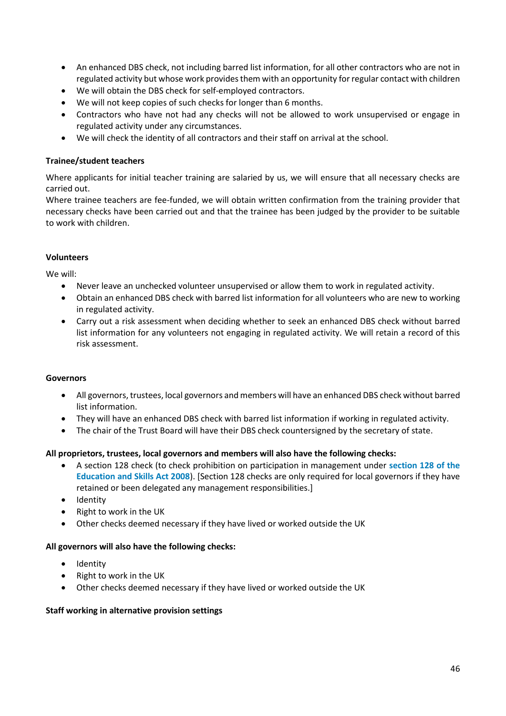- An enhanced DBS check, not including barred list information, for all other contractors who are not in regulated activity but whose work provides them with an opportunity for regular contact with children
- We will obtain the DBS check for self-employed contractors.
- We will not keep copies of such checks for longer than 6 months.
- Contractors who have not had any checks will not be allowed to work unsupervised or engage in regulated activity under any circumstances.
- We will check the identity of all contractors and their staff on arrival at the school.

# **Trainee/student teachers**

Where applicants for initial teacher training are salaried by us, we will ensure that all necessary checks are carried out.

Where trainee teachers are fee-funded, we will obtain written confirmation from the training provider that necessary checks have been carried out and that the trainee has been judged by the provider to be suitable to work with children.

# **Volunteers**

We will:

- Never leave an unchecked volunteer unsupervised or allow them to work in regulated activity.
- Obtain an enhanced DBS check with barred list information for all volunteers who are new to working in regulated activity.
- Carry out a risk assessment when deciding whether to seek an enhanced DBS check without barred list information for any volunteers not engaging in regulated activity. We will retain a record of this risk assessment.

# **Governors**

- All governors, trustees, local governors and members will have an enhanced DBS check without barred list information.
- They will have an enhanced DBS check with barred list information if working in regulated activity.
- The chair of the Trust Board will have their DBS check countersigned by the secretary of state.

# **All proprietors, trustees, local governors and members will also have the following checks:**

- A section 128 check (to check prohibition on participation in management under **[section 128 of the](https://www.legislation.gov.uk/ukpga/2008/25/section/128)  [Education and Skills Act 2008](https://www.legislation.gov.uk/ukpga/2008/25/section/128)**). [Section 128 checks are only required for local governors if they have retained or been delegated any management responsibilities.]
- Identity
- Right to work in the UK
- Other checks deemed necessary if they have lived or worked outside the UK

# **All governors will also have the following checks:**

- Identity
- Right to work in the UK
- Other checks deemed necessary if they have lived or worked outside the UK

#### **Staff working in alternative provision settings**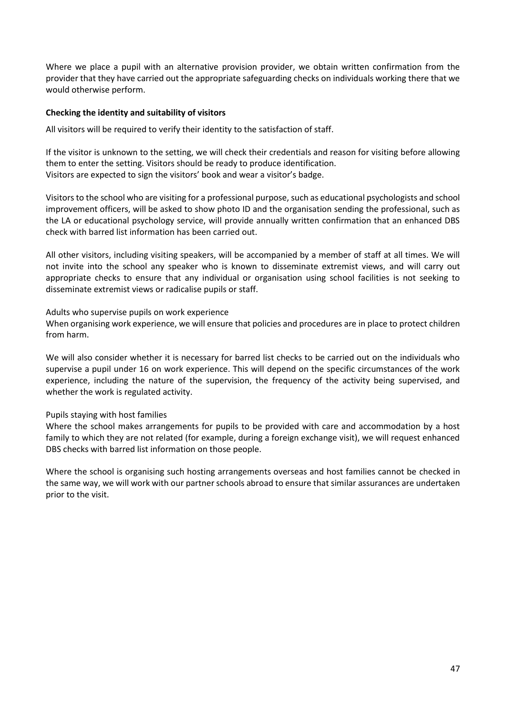Where we place a pupil with an alternative provision provider, we obtain written confirmation from the provider that they have carried out the appropriate safeguarding checks on individuals working there that we would otherwise perform.

# **Checking the identity and suitability of visitors**

All visitors will be required to verify their identity to the satisfaction of staff.

If the visitor is unknown to the setting, we will check their credentials and reason for visiting before allowing them to enter the setting. Visitors should be ready to produce identification. Visitors are expected to sign the visitors' book and wear a visitor's badge.

Visitors to the school who are visiting for a professional purpose, such as educational psychologists and school improvement officers, will be asked to show photo ID and the organisation sending the professional, such as the LA or educational psychology service, will provide annually written confirmation that an enhanced DBS check with barred list information has been carried out.

All other visitors, including visiting speakers, will be accompanied by a member of staff at all times. We will not invite into the school any speaker who is known to disseminate extremist views, and will carry out appropriate checks to ensure that any individual or organisation using school facilities is not seeking to disseminate extremist views or radicalise pupils or staff.

# Adults who supervise pupils on work experience

When organising work experience, we will ensure that policies and procedures are in place to protect children from harm.

We will also consider whether it is necessary for barred list checks to be carried out on the individuals who supervise a pupil under 16 on work experience. This will depend on the specific circumstances of the work experience, including the nature of the supervision, the frequency of the activity being supervised, and whether the work is regulated activity.

# Pupils staying with host families

Where the school makes arrangements for pupils to be provided with care and accommodation by a host family to which they are not related (for example, during a foreign exchange visit), we will request enhanced DBS checks with barred list information on those people.

Where the school is organising such hosting arrangements overseas and host families cannot be checked in the same way, we will work with our partner schools abroad to ensure that similar assurances are undertaken prior to the visit.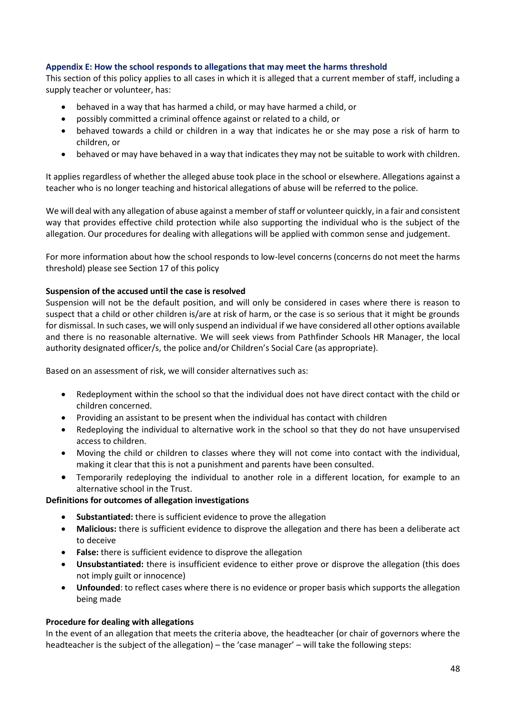# <span id="page-47-0"></span>**Appendix E: How the school responds to allegations that may meet the harms threshold**

This section of this policy applies to all cases in which it is alleged that a current member of staff, including a supply teacher or volunteer, has:

- behaved in a way that has harmed a child, or may have harmed a child, or
- possibly committed a criminal offence against or related to a child, or
- behaved towards a child or children in a way that indicates he or she may pose a risk of harm to children, or
- behaved or may have behaved in a way that indicates they may not be suitable to work with children.

It applies regardless of whether the alleged abuse took place in the school or elsewhere. Allegations against a teacher who is no longer teaching and historical allegations of abuse will be referred to the police.

We will deal with any allegation of abuse against a member of staff or volunteer quickly, in a fair and consistent way that provides effective child protection while also supporting the individual who is the subject of the allegation. Our procedures for dealing with allegations will be applied with common sense and judgement.

For more information about how the school responds to low-level concerns (concerns do not meet the harms threshold) please see Section 17 of this policy

#### **Suspension of the accused until the case is resolved**

Suspension will not be the default position, and will only be considered in cases where there is reason to suspect that a child or other children is/are at risk of harm, or the case is so serious that it might be grounds for dismissal. In such cases, we will only suspend an individual if we have considered all other options available and there is no reasonable alternative. We will seek views from Pathfinder Schools HR Manager, the local authority designated officer/s, the police and/or Children's Social Care (as appropriate).

Based on an assessment of risk, we will consider alternatives such as:

- Redeployment within the school so that the individual does not have direct contact with the child or children concerned.
- Providing an assistant to be present when the individual has contact with children
- Redeploying the individual to alternative work in the school so that they do not have unsupervised access to children.
- Moving the child or children to classes where they will not come into contact with the individual, making it clear that this is not a punishment and parents have been consulted.
- Temporarily redeploying the individual to another role in a different location, for example to an alternative school in the Trust.

#### **Definitions for outcomes of allegation investigations**

- **Substantiated:** there is sufficient evidence to prove the allegation
- **Malicious:** there is sufficient evidence to disprove the allegation and there has been a deliberate act to deceive
- **False:** there is sufficient evidence to disprove the allegation
- **Unsubstantiated:** there is insufficient evidence to either prove or disprove the allegation (this does not imply guilt or innocence)
- **Unfounded**: to reflect cases where there is no evidence or proper basis which supports the allegation being made

#### **Procedure for dealing with allegations**

In the event of an allegation that meets the criteria above, the headteacher (or chair of governors where the headteacher is the subject of the allegation) – the 'case manager' – will take the following steps: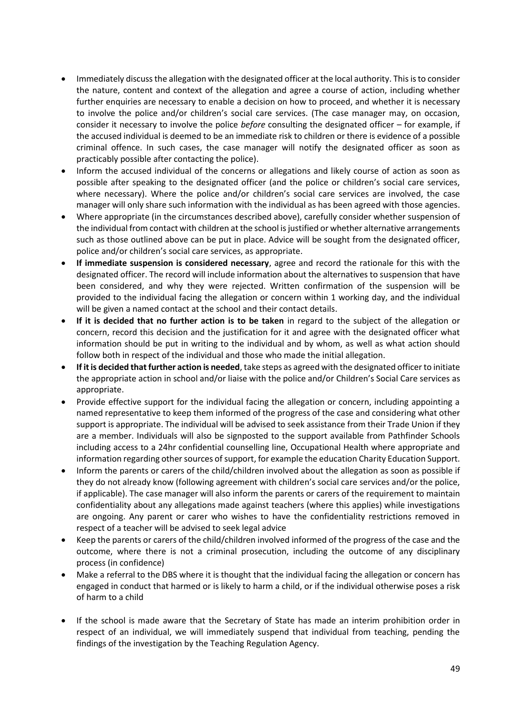- Immediately discuss the allegation with the designated officer at the local authority. This is to consider the nature, content and context of the allegation and agree a course of action, including whether further enquiries are necessary to enable a decision on how to proceed, and whether it is necessary to involve the police and/or children's social care services. (The case manager may, on occasion, consider it necessary to involve the police *before* consulting the designated officer – for example, if the accused individual is deemed to be an immediate risk to children or there is evidence of a possible criminal offence. In such cases, the case manager will notify the designated officer as soon as practicably possible after contacting the police).
- Inform the accused individual of the concerns or allegations and likely course of action as soon as possible after speaking to the designated officer (and the police or children's social care services, where necessary). Where the police and/or children's social care services are involved, the case manager will only share such information with the individual as has been agreed with those agencies.
- Where appropriate (in the circumstances described above), carefully consider whether suspension of the individual from contact with children at the school is justified or whether alternative arrangements such as those outlined above can be put in place. Advice will be sought from the designated officer, police and/or children's social care services, as appropriate.
- **If immediate suspension is considered necessary**, agree and record the rationale for this with the designated officer. The record will include information about the alternatives to suspension that have been considered, and why they were rejected. Written confirmation of the suspension will be provided to the individual facing the allegation or concern within 1 working day, and the individual will be given a named contact at the school and their contact details.
- **If it is decided that no further action is to be taken** in regard to the subject of the allegation or concern, record this decision and the justification for it and agree with the designated officer what information should be put in writing to the individual and by whom, as well as what action should follow both in respect of the individual and those who made the initial allegation.
- **If it is decided that further action is needed**, take steps as agreed with the designated officer to initiate the appropriate action in school and/or liaise with the police and/or Children's Social Care services as appropriate.
- Provide effective support for the individual facing the allegation or concern, including appointing a named representative to keep them informed of the progress of the case and considering what other support is appropriate. The individual will be advised to seek assistance from their Trade Union if they are a member. Individuals will also be signposted to the support available from Pathfinder Schools including access to a 24hr confidential counselling line, Occupational Health where appropriate and information regarding other sources of support, for example the education Charity Education Support.
- Inform the parents or carers of the child/children involved about the allegation as soon as possible if they do not already know (following agreement with children's social care services and/or the police, if applicable). The case manager will also inform the parents or carers of the requirement to maintain confidentiality about any allegations made against teachers (where this applies) while investigations are ongoing. Any parent or carer who wishes to have the confidentiality restrictions removed in respect of a teacher will be advised to seek legal advice
- Keep the parents or carers of the child/children involved informed of the progress of the case and the outcome, where there is not a criminal prosecution, including the outcome of any disciplinary process (in confidence)
- Make a referral to the DBS where it is thought that the individual facing the allegation or concern has engaged in conduct that harmed or is likely to harm a child, or if the individual otherwise poses a risk of harm to a child
- If the school is made aware that the Secretary of State has made an interim prohibition order in respect of an individual, we will immediately suspend that individual from teaching, pending the findings of the investigation by the Teaching Regulation Agency.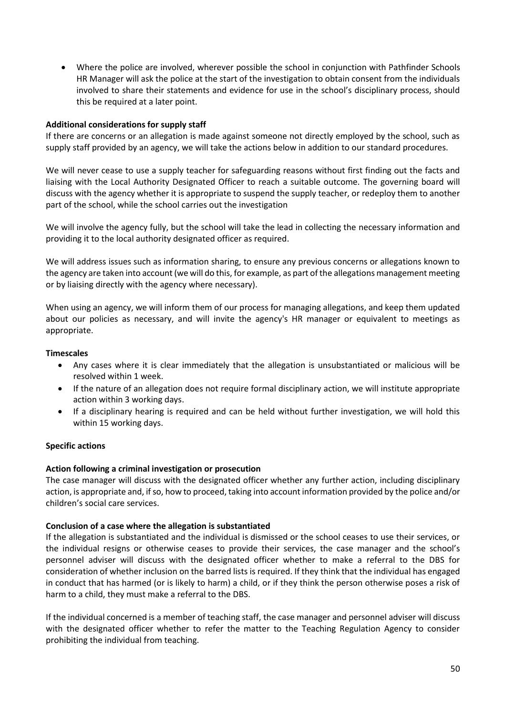• Where the police are involved, wherever possible the school in conjunction with Pathfinder Schools HR Manager will ask the police at the start of the investigation to obtain consent from the individuals involved to share their statements and evidence for use in the school's disciplinary process, should this be required at a later point.

# **Additional considerations for supply staff**

If there are concerns or an allegation is made against someone not directly employed by the school, such as supply staff provided by an agency, we will take the actions below in addition to our standard procedures.

We will never cease to use a supply teacher for safeguarding reasons without first finding out the facts and liaising with the Local Authority Designated Officer to reach a suitable outcome. The governing board will discuss with the agency whether it is appropriate to suspend the supply teacher, or redeploy them to another part of the school, while the school carries out the investigation

We will involve the agency fully, but the school will take the lead in collecting the necessary information and providing it to the local authority designated officer as required.

We will address issues such as information sharing, to ensure any previous concerns or allegations known to the agency are taken into account (we will do this, for example, as part of the allegations management meeting or by liaising directly with the agency where necessary).

When using an agency, we will inform them of our process for managing allegations, and keep them updated about our policies as necessary, and will invite the agency's HR manager or equivalent to meetings as appropriate.

# **Timescales**

- Any cases where it is clear immediately that the allegation is unsubstantiated or malicious will be resolved within 1 week.
- If the nature of an allegation does not require formal disciplinary action, we will institute appropriate action within 3 working days.
- If a disciplinary hearing is required and can be held without further investigation, we will hold this within 15 working days.

#### **Specific actions**

#### **Action following a criminal investigation or prosecution**

The case manager will discuss with the designated officer whether any further action, including disciplinary action, is appropriate and, if so, how to proceed, taking into account information provided by the police and/or children's social care services.

#### **Conclusion of a case where the allegation is substantiated**

If the allegation is substantiated and the individual is dismissed or the school ceases to use their services, or the individual resigns or otherwise ceases to provide their services, the case manager and the school's personnel adviser will discuss with the designated officer whether to make a referral to the DBS for consideration of whether inclusion on the barred lists is required. If they think that the individual has engaged in conduct that has harmed (or is likely to harm) a child, or if they think the person otherwise poses a risk of harm to a child, they must make a referral to the DBS.

If the individual concerned is a member of teaching staff, the case manager and personnel adviser will discuss with the designated officer whether to refer the matter to the Teaching Regulation Agency to consider prohibiting the individual from teaching.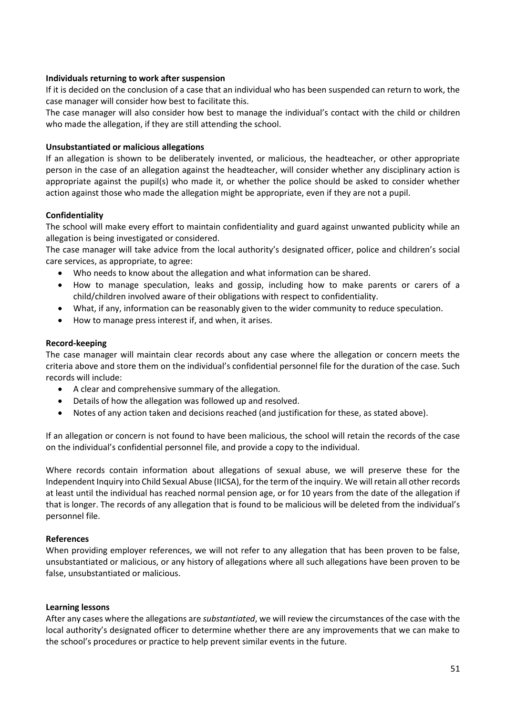# **Individuals returning to work after suspension**

If it is decided on the conclusion of a case that an individual who has been suspended can return to work, the case manager will consider how best to facilitate this.

The case manager will also consider how best to manage the individual's contact with the child or children who made the allegation, if they are still attending the school.

#### **Unsubstantiated or malicious allegations**

If an allegation is shown to be deliberately invented, or malicious, the headteacher, or other appropriate person in the case of an allegation against the headteacher, will consider whether any disciplinary action is appropriate against the pupil(s) who made it, or whether the police should be asked to consider whether action against those who made the allegation might be appropriate, even if they are not a pupil.

# **Confidentiality**

The school will make every effort to maintain confidentiality and guard against unwanted publicity while an allegation is being investigated or considered.

The case manager will take advice from the local authority's designated officer, police and children's social care services, as appropriate, to agree:

- Who needs to know about the allegation and what information can be shared.
- How to manage speculation, leaks and gossip, including how to make parents or carers of a child/children involved aware of their obligations with respect to confidentiality.
- What, if any, information can be reasonably given to the wider community to reduce speculation.
- How to manage press interest if, and when, it arises.

# **Record-keeping**

The case manager will maintain clear records about any case where the allegation or concern meets the criteria above and store them on the individual's confidential personnel file for the duration of the case. Such records will include:

- A clear and comprehensive summary of the allegation.
- Details of how the allegation was followed up and resolved.
- Notes of any action taken and decisions reached (and justification for these, as stated above).

If an allegation or concern is not found to have been malicious, the school will retain the records of the case on the individual's confidential personnel file, and provide a copy to the individual.

Where records contain information about allegations of sexual abuse, we will preserve these for the Independent Inquiry into Child Sexual Abuse (IICSA), for the term of the inquiry. We will retain all other records at least until the individual has reached normal pension age, or for 10 years from the date of the allegation if that is longer. The records of any allegation that is found to be malicious will be deleted from the individual's personnel file.

#### **References**

When providing employer references, we will not refer to any allegation that has been proven to be false, unsubstantiated or malicious, or any history of allegations where all such allegations have been proven to be false, unsubstantiated or malicious.

#### **Learning lessons**

After any cases where the allegations are *substantiated*, we will review the circumstances of the case with the local authority's designated officer to determine whether there are any improvements that we can make to the school's procedures or practice to help prevent similar events in the future.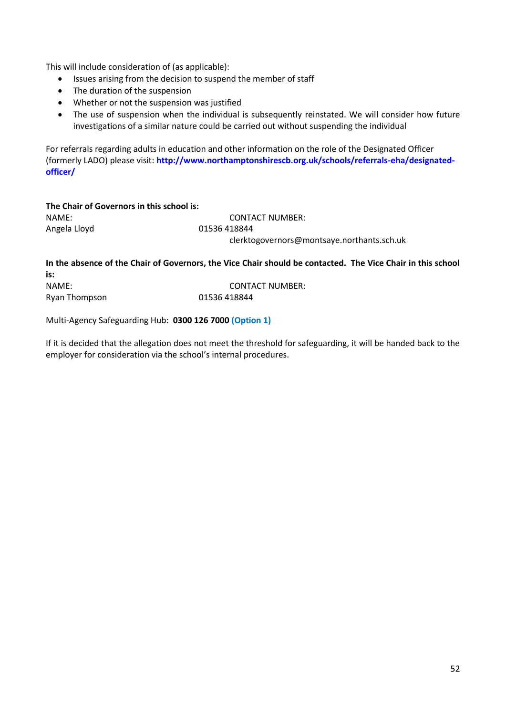This will include consideration of (as applicable):

- Issues arising from the decision to suspend the member of staff
- The duration of the suspension
- Whether or not the suspension was justified
- The use of suspension when the individual is subsequently reinstated. We will consider how future investigations of a similar nature could be carried out without suspending the individual

For referrals regarding adults in education and other information on the role of the Designated Officer (formerly LADO) please visit: **[http://www.northamptonshirescb.org.uk/schools/referrals-eha/designated](http://www.northamptonshirescb.org.uk/schools/referrals-eha/designated-officer/)[officer/](http://www.northamptonshirescb.org.uk/schools/referrals-eha/designated-officer/)**

| The Chair of Governors in this school is: |                                            |
|-------------------------------------------|--------------------------------------------|
| NAME:                                     | CONTACT NUMBER:                            |
| Angela Lloyd                              | 01536 418844                               |
|                                           | clerktogovernors@montsaye.northants.sch.uk |

**In the absence of the Chair of Governors, the Vice Chair should be contacted. The Vice Chair in this school is:** NAME: CONTACT NUMBER: Ryan Thompson 01536 418844

Multi-Agency Safeguarding Hub: **0300 126 7000 (Option 1)**

If it is decided that the allegation does not meet the threshold for safeguarding, it will be handed back to the employer for consideration via the school's internal procedures.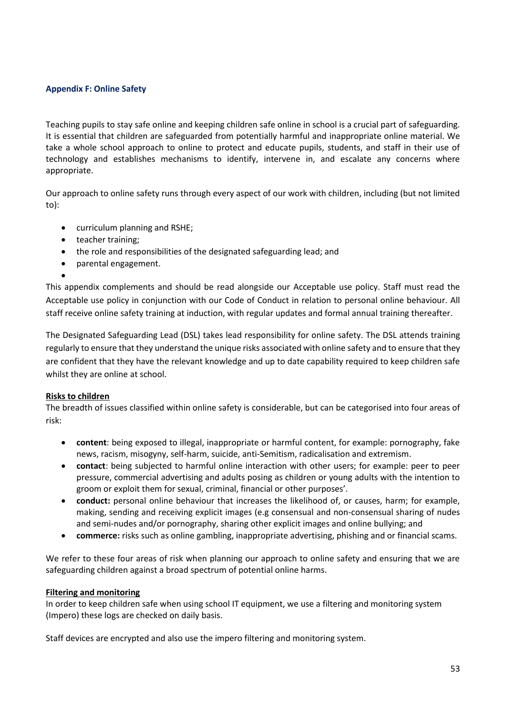# <span id="page-52-0"></span>**Appendix F: Online Safety**

Teaching pupils to stay safe online and keeping children safe online in school is a crucial part of safeguarding. It is essential that children are safeguarded from potentially harmful and inappropriate online material. We take a whole school approach to online to protect and educate pupils, students, and staff in their use of technology and establishes mechanisms to identify, intervene in, and escalate any concerns where appropriate.

Our approach to online safety runs through every aspect of our work with children, including (but not limited to):

- curriculum planning and RSHE;
- teacher training;
- the role and responsibilities of the designated safeguarding lead; and
- parental engagement.
- This appendix complements and should be read alongside our Acceptable use policy. Staff must read the Acceptable use policy in conjunction with our Code of Conduct in relation to personal online behaviour. All staff receive online safety training at induction, with regular updates and formal annual training thereafter.

The Designated Safeguarding Lead (DSL) takes lead responsibility for online safety. The DSL attends training regularly to ensure that they understand the unique risks associated with online safety and to ensure that they are confident that they have the relevant knowledge and up to date capability required to keep children safe whilst they are online at school.

# **Risks to children**

The breadth of issues classified within online safety is considerable, but can be categorised into four areas of risk:

- **content**: being exposed to illegal, inappropriate or harmful content, for example: pornography, fake news, racism, misogyny, self-harm, suicide, anti-Semitism, radicalisation and extremism.
- **contact**: being subjected to harmful online interaction with other users; for example: peer to peer pressure, commercial advertising and adults posing as children or young adults with the intention to groom or exploit them for sexual, criminal, financial or other purposes'.
- **conduct:** personal online behaviour that increases the likelihood of, or causes, harm; for example, making, sending and receiving explicit images (e.g consensual and non-consensual sharing of nudes and semi-nudes and/or pornography, sharing other explicit images and online bullying; and
- **commerce:** risks such as online gambling, inappropriate advertising, phishing and or financial scams.

We refer to these four areas of risk when planning our approach to online safety and ensuring that we are safeguarding children against a broad spectrum of potential online harms.

# **Filtering and monitoring**

In order to keep children safe when using school IT equipment, we use a filtering and monitoring system (Impero) these logs are checked on daily basis.

Staff devices are encrypted and also use the impero filtering and monitoring system.